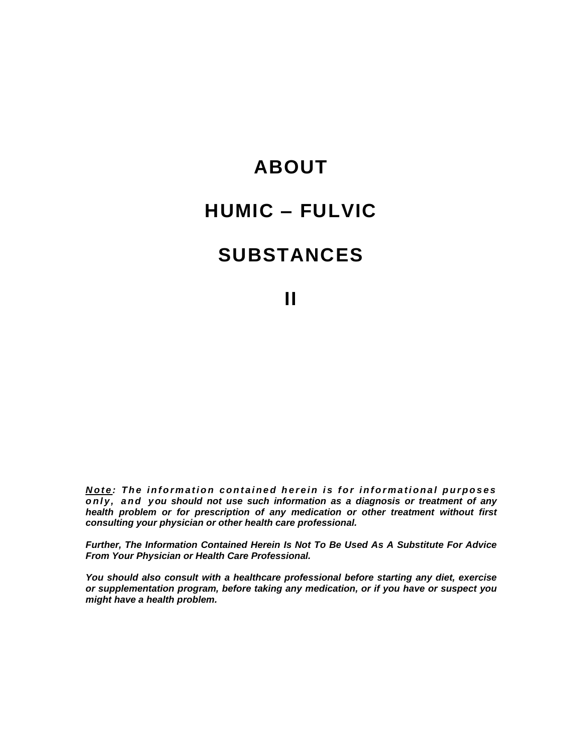# **ABOUT HUMIC ñ FULVIC SUBSTANCES**

**II**

Note: The information contained herein is for informational purposes **o nl y , a nd y ou should notuse such information as a diagnosis or treatment of any health problem or for prescription of any medication orother treatment without first consulting your physician or other health care professional.**

**Further, The Information Contained Herein Is Not To Be Used As A Substitute For Advice From Your Physician or Health Care Professional.**

**You should also consult with a healthcare professional before starting any diet, exercise or supplementation program, before taking any medication, or if you have or suspect you might have a health problem.**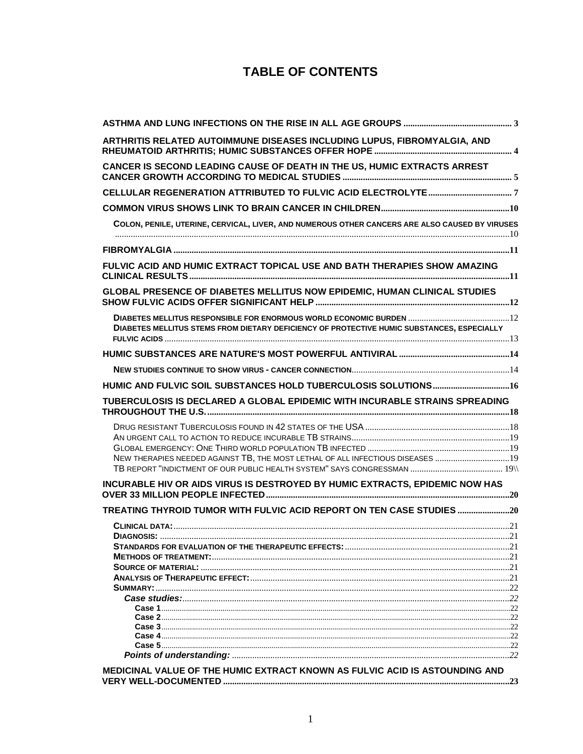## **TABLE OF CONTENTS**

| ARTHRITIS RELATED AUTOIMMUNE DISEASES INCLUDING LUPUS, FIBROMYALGIA, AND                                                                                                                                                                                                                   |  |
|--------------------------------------------------------------------------------------------------------------------------------------------------------------------------------------------------------------------------------------------------------------------------------------------|--|
| CANCER IS SECOND LEADING CAUSE OF DEATH IN THE US, HUMIC EXTRACTS ARREST                                                                                                                                                                                                                   |  |
|                                                                                                                                                                                                                                                                                            |  |
|                                                                                                                                                                                                                                                                                            |  |
| COLON, PENILE, UTERINE, CERVICAL, LIVER, AND NUMEROUS OTHER CANCERS ARE ALSO CAUSED BY VIRUSES                                                                                                                                                                                             |  |
|                                                                                                                                                                                                                                                                                            |  |
|                                                                                                                                                                                                                                                                                            |  |
| FULVIC ACID AND HUMIC EXTRACT TOPICAL USE AND BATH THERAPIES SHOW AMAZING                                                                                                                                                                                                                  |  |
| GLOBAL PRESENCE OF DIABETES MELLITUS NOW EPIDEMIC, HUMAN CLINICAL STUDIES                                                                                                                                                                                                                  |  |
|                                                                                                                                                                                                                                                                                            |  |
| DIABETES MELLITUS STEMS FROM DIETARY DEFICIENCY OF PROTECTIVE HUMIC SUBSTANCES, ESPECIALLY                                                                                                                                                                                                 |  |
|                                                                                                                                                                                                                                                                                            |  |
|                                                                                                                                                                                                                                                                                            |  |
|                                                                                                                                                                                                                                                                                            |  |
| TUBERCULOSIS IS DECLARED A GLOBAL EPIDEMIC WITH INCURABLE STRAINS SPREADING                                                                                                                                                                                                                |  |
|                                                                                                                                                                                                                                                                                            |  |
|                                                                                                                                                                                                                                                                                            |  |
|                                                                                                                                                                                                                                                                                            |  |
|                                                                                                                                                                                                                                                                                            |  |
| NEW THERAPIES NEEDED AGAINST TB, THE MOST LETHAL OF ALL INFECTIOUS DISEASES 19                                                                                                                                                                                                             |  |
| INCURABLE HIV OR AIDS VIRUS IS DESTROYED BY HUMIC EXTRACTS, EPIDEMIC NOW HAS                                                                                                                                                                                                               |  |
| TREATING THYROID TUMOR WITH FULVIC ACID REPORT ON TEN CASE STUDIES 20                                                                                                                                                                                                                      |  |
|                                                                                                                                                                                                                                                                                            |  |
|                                                                                                                                                                                                                                                                                            |  |
|                                                                                                                                                                                                                                                                                            |  |
|                                                                                                                                                                                                                                                                                            |  |
|                                                                                                                                                                                                                                                                                            |  |
|                                                                                                                                                                                                                                                                                            |  |
|                                                                                                                                                                                                                                                                                            |  |
|                                                                                                                                                                                                                                                                                            |  |
|                                                                                                                                                                                                                                                                                            |  |
|                                                                                                                                                                                                                                                                                            |  |
| <b>Case 4</b> [100] $\frac{1}{2}$ [22] $\frac{1}{2}$ [22] $\frac{1}{2}$ [22] $\frac{1}{2}$ [22] $\frac{1}{2}$ [22] $\frac{1}{2}$ [22] $\frac{1}{2}$ [22] $\frac{1}{2}$ [22] $\frac{1}{2}$ [22] $\frac{1}{2}$ [22] $\frac{1}{2}$ [22] $\frac{1}{2}$ [22] $\frac{1}{2}$ [22] $\frac{1}{2}$ [ |  |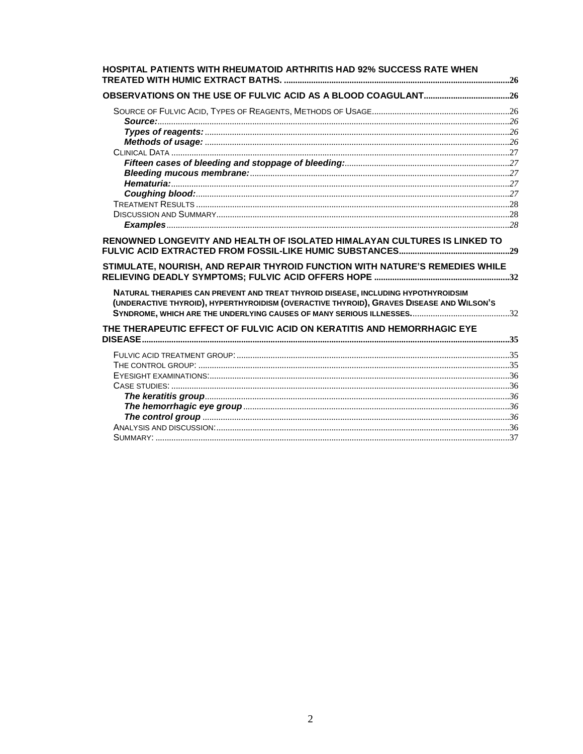| HOSPITAL PATIENTS WITH RHEUMATOID ARTHRITIS HAD 92% SUCCESS RATE WHEN                                                                                                         |  |
|-------------------------------------------------------------------------------------------------------------------------------------------------------------------------------|--|
|                                                                                                                                                                               |  |
|                                                                                                                                                                               |  |
|                                                                                                                                                                               |  |
|                                                                                                                                                                               |  |
|                                                                                                                                                                               |  |
|                                                                                                                                                                               |  |
|                                                                                                                                                                               |  |
|                                                                                                                                                                               |  |
|                                                                                                                                                                               |  |
|                                                                                                                                                                               |  |
|                                                                                                                                                                               |  |
|                                                                                                                                                                               |  |
| RENOWNED LONGEVITY AND HEALTH OF ISOLATED HIMALAYAN CULTURES IS LINKED TO                                                                                                     |  |
| STIMULATE, NOURISH, AND REPAIR THYROID FUNCTION WITH NATURE'S REMEDIES WHILE                                                                                                  |  |
| NATURAL THERAPIES CAN PREVENT AND TREAT THYROID DISEASE, INCLUDING HYPOTHYROIDSIM<br>(UNDERACTIVE THYROID), HYPERTHYROIDISM (OVERACTIVE THYROID), GRAVES DISEASE AND WILSON'S |  |
| THE THERAPEUTIC EFFECT OF FULVIC ACID ON KERATITIS AND HEMORRHAGIC EYE                                                                                                        |  |
|                                                                                                                                                                               |  |
|                                                                                                                                                                               |  |
|                                                                                                                                                                               |  |
|                                                                                                                                                                               |  |
|                                                                                                                                                                               |  |
|                                                                                                                                                                               |  |
|                                                                                                                                                                               |  |
|                                                                                                                                                                               |  |
|                                                                                                                                                                               |  |
|                                                                                                                                                                               |  |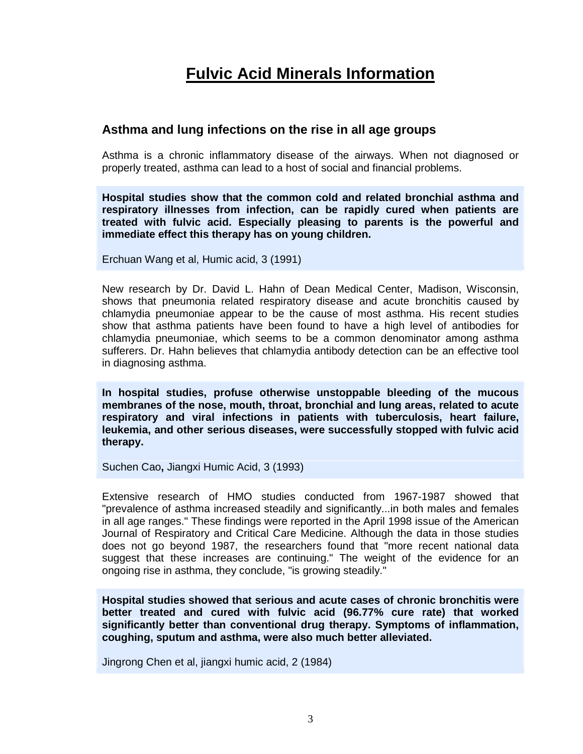# <span id="page-3-0"></span>**Fulvic Acid Minerals Information**

## **Asthma and lung infections on the rise in all age groups**

Asthma is a chronic inflammatory disease of the airways. When not diagnosed or properly treated, asthma can lead to a host of social and financial problems.

**Hospital studies show that the common cold and related bronchial asthma and respiratory illnesses from infection, can be rapidly cured when patients are treated with fulvic acid. Especially pleasing to parents is the powerful and immediate effect this therapy has on young children.**

Erchuan Wang et al, Humic acid, 3 (1991)

New research by Dr. David L. Hahn of Dean Medical Center, Madison, Wisconsin, shows that pneumonia related respiratory disease and acute bronchitis caused by chlamydia pneumoniae appear to be the cause of most asthma. His recent studies show that asthma patients have been found to have a high level of antibodies for chlamydia pneumoniae, which seems to be a common denominator among asthma sufferers. Dr. Hahn believes that chlamydia antibody detection can be an effective tool in diagnosing asthma.

**In hospital studies, profuse otherwise unstoppable bleeding of the mucous membranes of the nose, mouth, throat, bronchial and lung areas, related to acute respiratory and viral infections in patients with tuberculosis, heart failure, leukemia, and other serious diseases, were successfully stopped with fulvic acid therapy.**

Suchen Cao**,** Jiangxi Humic Acid, 3 (1993)

Extensive research of HMO studies conducted from 1967-1987 showed that "prevalence of asthma increased steadily and significantly...in both males and females in all age ranges." These findings were reported in the April 1998 issue of the American Journal of Respiratory and Critical Care Medicine. Although the data in those studies does not go beyond 1987, the researchers found that "more recent national data suggest that these increases are continuing." The weight of the evidence for an ongoing rise in asthma, they conclude, "is growing steadily."

**Hospital studies showed that serious and acute cases of chronic bronchitis were better treated and cured with fulvic acid (96.77% cure rate) that worked significantly better than conventional drug therapy. Symptoms of inflammation, coughing, sputum and asthma, were also much better alleviated.**

Jingrong Chen et al, jiangxi humic acid, 2 (1984)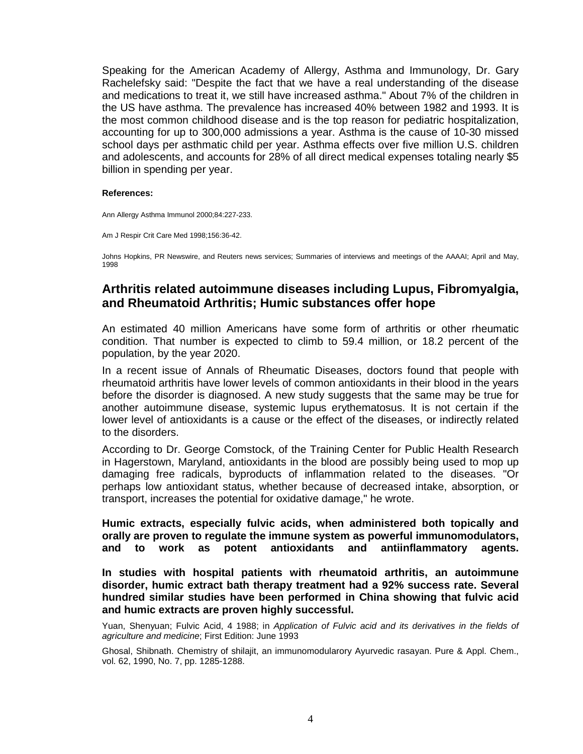Speaking for the American Academy of Allergy, Asthma and Immunology, Dr. Gary Rachelefsky said: "Despite the fact that we have a real understanding of the disease and medications to treat it, we still have increased asthma." About 7% of the children in the US have asthma. The prevalence has increased 40% between 1982 and 1993. It is the most common childhood disease and is the top reason for pediatric hospitalization, accounting for up to 300,000 admissions a year. Asthma is the cause of 10-30 missed school days per asthmatic child per year. Asthma effects over five million U.S. children and adolescents, and accounts for 28% of all direct medical expenses totaling nearly \$5 billion in spending per year.

#### **References:**

Ann Allergy Asthma Immunol 2000;84:227-233.

Am J Respir Crit Care Med 1998;156:36-42.

<span id="page-4-0"></span>Johns Hopkins, PR Newswire, and Reuters news services; Summaries of interviews and meetings of the AAAAI; April and May, 1998

## **Arthritis related autoimmune diseases including Lupus, Fibromyalgia, and Rheumatoid Arthritis; Humic substances offer hope**

An estimated 40 million Americans have some form of arthritis or other rheumatic condition. That number is expected to climb to 59.4 million, or 18.2 percent of the population, by the year 2020.

In a recent issue of Annals of Rheumatic Diseases, doctors found that people with rheumatoid arthritis have lower levels of common antioxidants in their blood in the years before the disorder is diagnosed. A new study suggests that the same may be true for another autoimmune disease, systemic lupus erythematosus. It is not certain if the lower level of antioxidants is a cause or the effect of the diseases, or indirectly related to the disorders.

According to Dr. George Comstock, of the Training Center for Public Health Research in Hagerstown, Maryland, antioxidants in the blood are possibly being used to mop up damaging free radicals, byproducts of inflammation related to the diseases. "Or perhaps low antioxidant status, whether because of decreased intake, absorption, or transport, increases the potential for oxidative damage," he wrote.

**Humic extracts, especially fulvic acids, when administered both topically and orally are proven to regulate the immune system as powerful immunomodulators, and to work as potent antioxidants and antiinflammatory agents.**

**In studies with hospital patients with rheumatoid arthritis, an autoimmune disorder, humic extract bath therapy treatment had a 92% success rate. Several hundred similar studies have been performed in China showing that fulvic acid and humic extracts are proven highly successful.**

Yuan, Shenvuan; Fulvic Acid, 4 1988; in Application of Fulvic acid and its derivatives in the fields of agriculture and medicine; First Edition: June 1993

Ghosal, Shibnath. Chemistry of shilajit, an immunomodularory Ayurvedic rasayan. Pure & Appl. Chem., vol. 62, 1990, No. 7, pp. 1285-1288.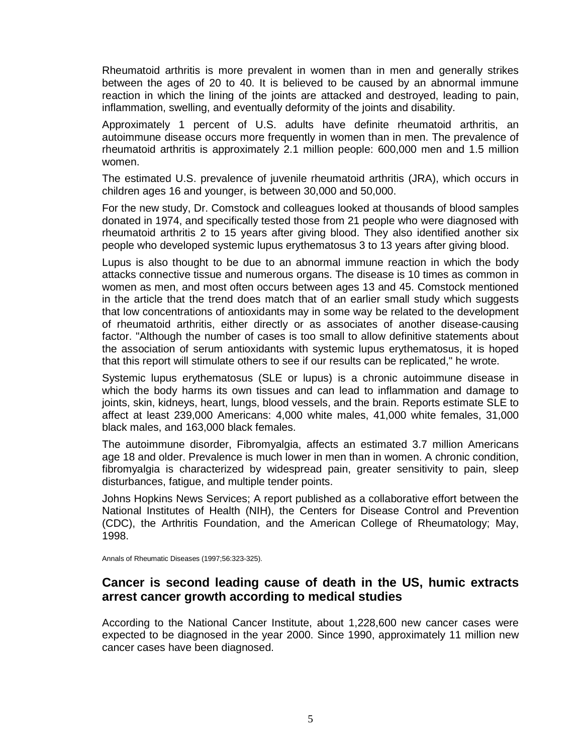Rheumatoid arthritis is more prevalent in women than in men and generally strikes between the ages of 20 to 40. It is believed to be caused by an abnormal immune reaction in which the lining of the joints are attacked and destroyed, leading to pain, inflammation, swelling, and eventually deformity of the joints and disability.

Approximately 1 percent of U.S. adults have definite rheumatoid arthritis, an autoimmune disease occurs more frequently in women than in men. The prevalence of rheumatoid arthritis is approximately 2.1 million people: 600,000 men and 1.5 million women.

The estimated U.S. prevalence of juvenile rheumatoid arthritis (JRA), which occurs in children ages 16 and younger, is between 30,000 and 50,000.

For the new study, Dr. Comstock and colleagues looked at thousands of blood samples donated in 1974, and specifically tested those from 21 people who were diagnosed with rheumatoid arthritis 2 to 15 years after giving blood. They also identified another six people who developed systemic lupus erythematosus 3 to 13 years after giving blood.

Lupus is also thought to be due to an abnormal immune reaction in which the body attacks connective tissue and numerous organs. The disease is 10 times as common in women as men, and most often occurs between ages 13 and 45. Comstock mentioned in the article that the trend does match that of an earlier small study which suggests that low concentrations of antioxidants may in some way be related to the development of rheumatoid arthritis, either directly or as associates of another disease-causing factor. "Although the number of cases is too small to allow definitive statements about the association of serum antioxidants with systemic lupus erythematosus, it is hoped that this report will stimulate others to see if our results can be replicated," he wrote.

Systemic lupus erythematosus (SLE or lupus) is a chronic autoimmune disease in which the body harms its own tissues and can lead to inflammation and damage to joints, skin, kidneys, heart, lungs, blood vessels, and the brain. Reports estimate SLE to affect at least 239,000 Americans: 4,000 white males, 41,000 white females, 31,000 black males, and 163,000 black females.

The autoimmune disorder, Fibromyalgia, affects an estimated 3.7 million Americans age 18 and older. Prevalence is much lower in men than in women. A chronic condition, fibromyalgia is characterized by widespread pain, greater sensitivity to pain, sleep disturbances, fatigue, and multiple tender points.

Johns Hopkins News Services; A report published as a collaborative effort between the National Institutes of Health (NIH), the Centers for Disease Control and Prevention (CDC), the Arthritis Foundation, and the American College of Rheumatology; May, 1998.

Annals of Rheumatic Diseases (1997;56:323-325).

## <span id="page-5-0"></span>**Cancer is second leading cause of death in the US, humic extracts arrest cancer growth according to medical studies**

According to the National Cancer Institute, about 1,228,600 new cancer cases were expected to be diagnosed in the year 2000. Since 1990, approximately 11 million new cancer cases have been diagnosed.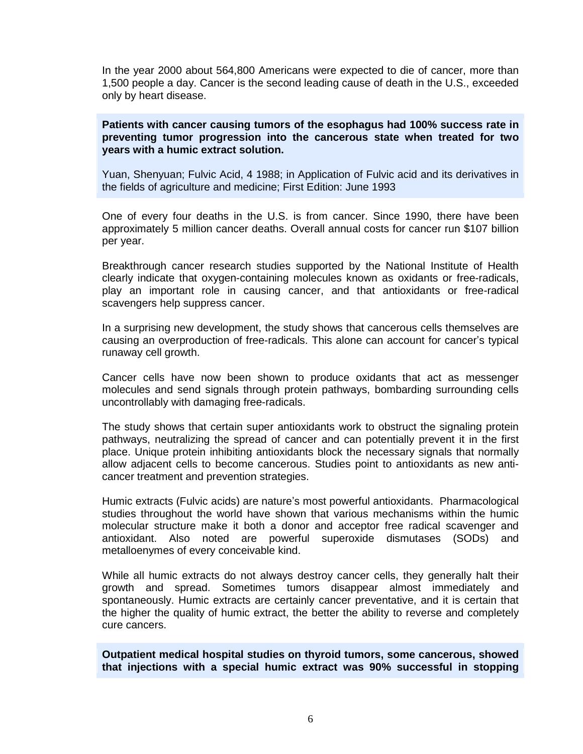In the year 2000 about 564,800 Americans were expected to die of cancer, more than 1,500 people a day. Cancer is the second leading cause of death in the U.S., exceeded only by heart disease.

**Patients with cancer causing tumors of the esophagus had 100% success rate in preventing tumor progression into the cancerous state when treated for two years with a humic extract solution.**

Yuan, Shenyuan; Fulvic Acid, 4 1988; in Application of Fulvic acid and its derivatives in the fields of agriculture and medicine; First Edition: June 1993

One of every four deaths in the U.S. is from cancer. Since 1990, there have been approximately 5 million cancer deaths. Overall annual costs for cancer run \$107 billion per year.

Breakthrough cancer research studies supported by the National Institute of Health clearly indicate that oxygen-containing molecules known as oxidants or free-radicals, play an important role in causing cancer, and that antioxidants or free-radical scavengers help suppress cancer.

In a surprising new development, the study shows that cancerous cells themselves are causing an overproduction of free-radicals. This alone can account for cancer's typical runaway cell growth.

Cancer cells have now been shown to produce oxidants that act as messenger molecules and send signals through protein pathways, bombarding surrounding cells uncontrollably with damaging free-radicals.

The study shows that certain super antioxidants work to obstruct the signaling protein pathways, neutralizing the spread of cancer and can potentially prevent it in the first place. Unique protein inhibiting antioxidants block the necessary signals that normally allow adjacent cells to become cancerous. Studies point to antioxidants as new anti cancer treatment and prevention strategies.

Humic extracts (Fulvic acids) are natureís most powerful antioxidants. Pharmacological studies throughout the world have shown that various mechanisms within the humic molecular structure make it both a donor and acceptor free radical scavenger and antioxidant. Also noted are powerful superoxide dismutases (SODs) and metalloenymes of every conceivable kind.

While all humic extracts do not always destroy cancer cells, they generally halt their growth and spread. Sometimes tumors disappear almost immediately and spontaneously. Humic extracts are certainly cancer preventative, and it is certain that the higher the quality of humic extract, the better the ability to reverse and completely cure cancers.

**Outpatient medical hospital studies on thyroid tumors, some cancerous, showed that injections with a special humic extract was 90% successful in stopping**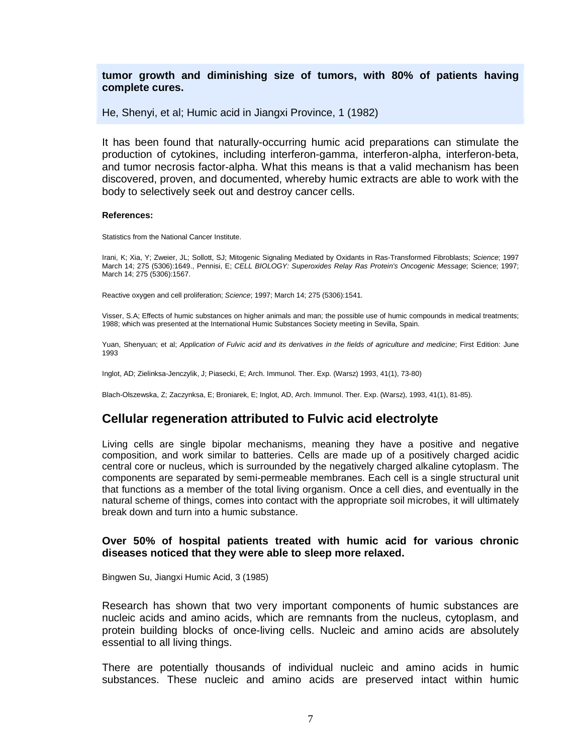#### **tumor growth and diminishing size of tumors, with 80% of patients having complete cures.**

He, Shenyi, et al; Humic acid in Jiangxi Province, 1 (1982)

It has been found that naturally-occurring humic acid preparations can stimulate the production of cytokines, including interferon-gamma, interferon-alpha, interferon-beta, and tumor necrosis factor-alpha. What this means is that a valid mechanism has been discovered, proven, and documented, whereby humic extracts are able to work with the body to selectively seek out and destroy cancer cells.

#### **References:**

Statistics from the National Cancer Institute.

Irani, K; Xia, Y; Zweier, JL; Sollott, SJ; Mitogenic Signaling Mediated by Oxidants in Ras-Transformed Fibroblasts; Science; 1997 March 14; 275 (5306):1649., Pennisi, E; CELL BIOLOGY: Superoxides Relay Ras Protein's Oncogenic Message; Science; 1997; March 14; 275 (5306):1567.

Reactive oxygen and cell proliferation; Science; 1997; March 14; 275 (5306):1541.

Visser, S.A; Effects of humic substances on higher animals and man; the possible use of humic compounds in medical treatments; 1988; which was presented at the International Humic Substances Society meeting in Sevilla, Spain.

Yuan, Shenyuan; et al; Application of Fulvic acid and its derivatives in the fields of agriculture and medicine; First Edition: June 1993

Inglot, AD; Zielinksa-Jenczylik, J; Piasecki, E; Arch. Immunol. Ther. Exp. (Warsz) 1993, 41(1), 73-80)

<span id="page-7-0"></span>Blach-Olszewska, Z; Zaczynksa, E; Broniarek, E; Inglot, AD, Arch. Immunol. Ther. Exp. (Warsz), 1993, 41(1), 81-85).

## **Cellular regeneration attributed to Fulvic acid electrolyte**

Living cells are single bipolar mechanisms, meaning they have a positive and negative composition, and work similar to batteries. Cells are made up of a positively charged acidic central core or nucleus, which is surrounded by the negatively charged alkaline cytoplasm. The components are separated by semi-permeable membranes. Each cell is a single structural unit that functions as a member of the total living organism. Once a cell dies, and eventually in the natural scheme of things, comes into contact with the appropriate soil microbes, it will ultimately break down and turn into a humic substance.

#### **Over 50% of hospital patients treated with humic acid for various chronic diseases** noticed that they were able to sleep more relaxed.

Bingwen Su, Jiangxi Humic Acid, 3 (1985)

Research has shown that two very important components of humic substances are nucleic acids and amino acids, which are remnants from the nucleus, cytoplasm, and protein building blocks of once-living cells. Nucleic and amino acids are absolutely essential to all living things.

There are potentially thousands of individual nucleic and amino acids in humic substances. These nucleic and amino acids are preserved intact within humic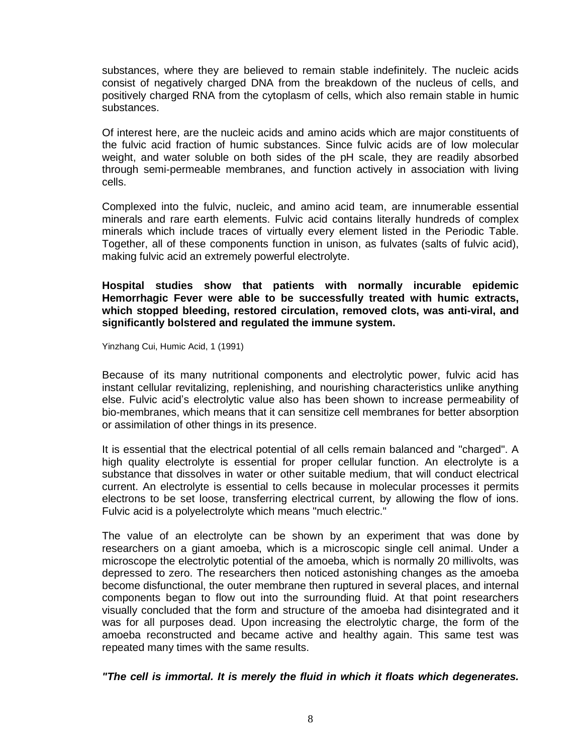substances, where they are believed to remain stable indefinitely. The nucleic acids consist of negatively charged DNA from the breakdown of the nucleus of cells, and positively charged RNA from the cytoplasm of cells, which also remain stable in humic substances.

Of interest here, are the nucleic acids and amino acids which are major constituents of the fulvic acid fraction of humic substances. Since fulvic acids are of low molecular weight, and water soluble on both sides of the pH scale, they are readily absorbed through semi-permeable membranes, and function actively in association with living cells.

Complexed into the fulvic, nucleic, and amino acid team, are innumerable essential minerals and rare earth elements. Fulvic acid contains literally hundreds of complex minerals which include traces of virtually every element listed in the Periodic Table. Together, all of these components function in unison, as fulvates (salts of fulvic acid), making fulvic acid an extremely powerful electrolyte.

**Hospital studies show that patients with normally incurable epidemic Hemorrhagic Fever were able to be successfully treated with humic extracts, which stopped bleeding, restored circulation, removed clots, was anti-viral, and significantly bolstered and regulated the immune system.**

Yinzhang Cui, Humic Acid, 1 (1991)

Because of its many nutritional components and electrolytic power, fulvic acid has instant cellular revitalizing, replenishing, and nourishing characteristics unlike anything else. Fulvic acidís electrolytic value also has been shown to increase permeability of bio-membranes, which means that it can sensitize cell membranes for better absorption or assimilation of other things in its presence.

It is essential that the electrical potential of all cells remain balanced and "charged". A high quality electrolyte is essential for proper cellular function. An electrolyte is a substance that dissolves in water or other suitable medium, that will conduct electrical current. An electrolyte is essential to cells because in molecular processes it permits electrons to be set loose, transferring electrical current, by allowing the flow of ions. Fulvic acid is a polyelectrolyte which means "much electric."

The value of an electrolyte can be shown by an experiment that was done by researchers on a giant amoeba, which is a microscopic single cell animal. Under a microscope the electrolytic potential of the amoeba, which is normally 20 millivolts, was depressed to zero. The researchers then noticed astonishing changes as the amoeba become disfunctional, the outer membrane then ruptured in several places, and internal components began to flow out into the surrounding fluid. At that point researchers visually concluded that the form and structure of the amoeba had disintegrated and it was for all purposes dead. Upon increasing the electrolytic charge, the form of the amoeba reconstructed and became active and healthy again. This same test was repeated many times with the same results.

**"The cellis immortal. It is merely the fluid in which it floats which degenerates.**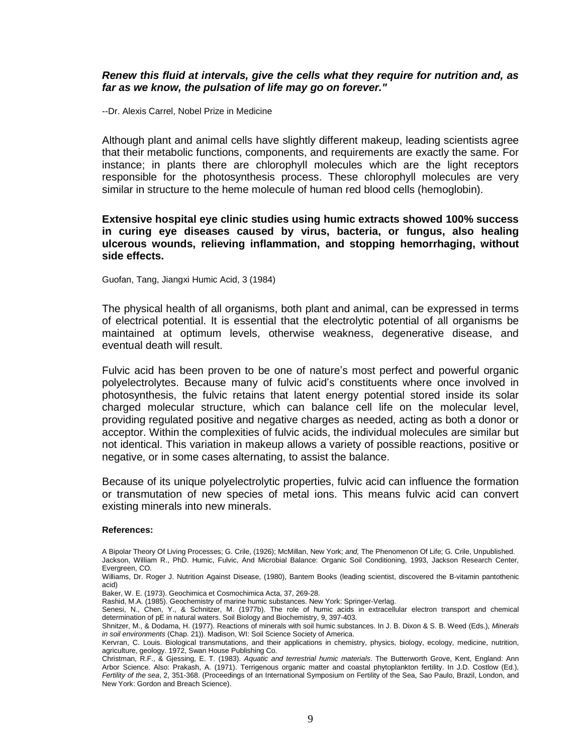#### **Renew this fluid at intervals, give the cells what they require for nutrition and, as far as we know, the pulsation of life may go on forever."**

--Dr. Alexis Carrel, Nobel Prize in Medicine

Although plant and animal cells have slightly different makeup, leading scientists agree that their metabolic functions, components, and requirements are exactly the same. For instance; in plants there are chlorophyll molecules which are the light receptors responsible for the photosynthesis process. These chlorophyll molecules are very similar in structure to the heme molecule of human red blood cells (hemoglobin).

#### **Extensive hospital eye clinic studies using humic extracts showed 100% success in curing eye diseases caused by virus, bacteria, or fungus, also healing ulcerous wounds, relieving inflammation, and stopping hemorrhaging, without side effects.**

Guofan, Tang, Jiangxi Humic Acid, 3 (1984)

The physical health of all organisms, both plant and animal, can be expressed in terms of electrical potential. It is essential that the electrolytic potential of all organisms be maintained at optimum levels, otherwise weakness, degenerative disease, and eventual death will result.

Fulvic acid has been proven to be one of nature's most perfect and powerful organic polyelectrolytes. Because many of fulvic acidís constituents where once involved in photosynthesis, the fulvic retains that latent energy potential stored inside its solar charged molecular structure, which can balance cell life on the molecular level, providing regulated positive and negative charges as needed, acting as both a donor or acceptor. Within the complexities of fulvic acids, the individual molecules are similar but not identical. This variation in makeup allows a variety of possible reactions, positive or negative, or in some cases alternating, to assist the balance.

Because of its unique polyelectrolytic properties, fulvic acid can influence the formation or transmutation of new species of metal ions. This means fulvic acid can convert existing minerals into new minerals.

#### **References:**

Baker, W. E. (1973). Geochimica et Cosmochimica Acta, 37, 269-28.

Rashid, M.A. (1985). Geochemistry of marine humic substances. New York: Springer-Verlag.

- Senesi, N., Chen, Y., & Schnitzer, M. (1977b). The role of humic acids in extracellular electron transport and chemical determination of pE in natural waters. Soil Biology and Biochemistry, 9, 397-403.
- Shnitzer, M., & Dodama, H. (1977). Reactions of minerals with soil humic substances. In J. B. Dixon & S. B. Weed (Eds.), Minerals in soil environments (Chap. 21)). Madison, WI: Soil Science Society of America.

A Bipolar Theory Of Living Processes; G. Crile, (1926); McMillan, New York; and, The Phenomenon Of Life; G. Crile, Unpublished. Jackson, William R., PhD. Humic, Fulvic, And Microbial Balance: Organic SoilConditioning, 1993, Jackson Research Center, Evergreen, CO.

Williams, Dr. Roger J. Nutrition Against Disease, (1980), Bantem Books (leading scientist, discovered the B-vitamin pantothenic acid)

Kervran, C. Louis. Biological transmutations, and their applications in chemistry, physics, biology, ecology, medicine, nutrition, agriculture, geology. 1972, Swan House Publishing Co.

Christman, R.F., & Gjessing, E. T. (1983). Aquatic and terrestrial humic materials. The Butterworth Grove, Kent, England: Ann Arbor Science. Also: Prakash, A. (1971). Terrigenous organic matter and coastal phytoplankton fertility. In J.D. Costlow (Ed.), Fertility of the sea, 2, 351-368. (Proceedings of an International Symposium on Fertility of the Sea, Sao Paulo, Brazil, London, and New York: Gordon and Breach Science).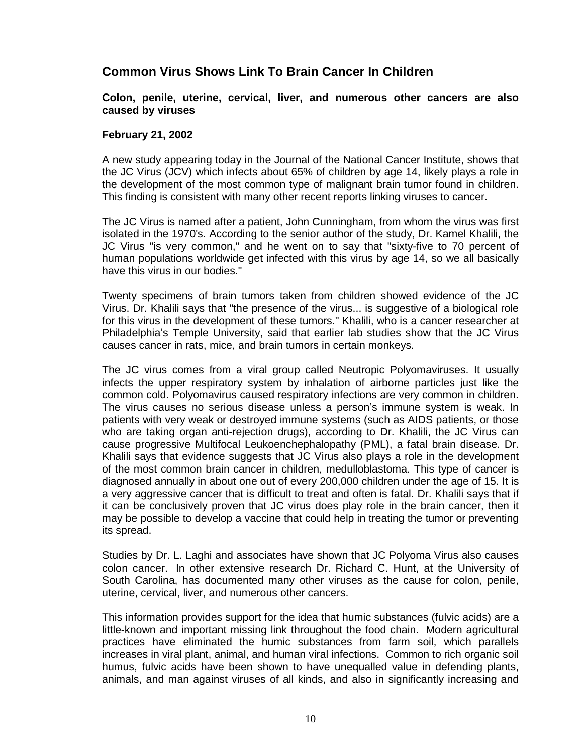## <span id="page-10-1"></span><span id="page-10-0"></span>**Common Virus Shows Link To Brain Cancer In Children**

#### **Colon, penile, uterine, cervical, liver, and numerous other cancers are also caused by viruses**

#### **February 21, 2002**

A new study appearing today in the Journal of the National Cancer Institute, shows that the JC Virus (JCV) which infects about 65% of children by age 14, likely plays a role in the development of the most common type of malignant brain tumor found in children. This finding is consistent with many other recent reports linking viruses to cancer.

The JC Virus is named after a patient, John Cunningham, from whom the virus was first isolated in the 1970's. According to the senior author of the study, Dr. Kamel Khalili, the JC Virus "is very common," and he went on to say that "sixty-five to 70 percent of human populations worldwide get infected with this virus by age 14, so we all basically have this virus in our bodies."

Twenty specimens of brain tumors taken from children showed evidence of the JC Virus. Dr. Khalili says that "the presence of the virus... is suggestive of a biological role for this virus in the development of these tumors." Khalili, who is a cancer researcher at Philadelphia's Temple University, said that earlier lab studies show that the JC Virus causes cancer in rats, mice, and brain tumors in certain monkeys.

The JC virus comes from a viral group called Neutropic Polyomaviruses. It usually infects the upper respiratory system by inhalation of airborne particles just like the common cold. Polyomavirus caused respiratory infections are very common in children. The virus causes no serious disease unless a personís immune system is weak. In patients with very weak or destroyed immune systems (such as AIDS patients, or those who are taking organ anti-rejection drugs), according to Dr. Khalili, the JC Virus can cause progressive Multifocal Leukoenchephalopathy (PML), a fatal brain disease. Dr. Khalili says that evidence suggests that JC Virus also plays a role in the development of the most common brain cancer in children, medulloblastoma. This type of cancer is diagnosed annually in about one out of every 200,000 children under the age of 15. It is a very aggressive cancer that is difficult to treat and often is fatal. Dr. Khalili says that if it can be conclusively proven that JC virus does play role in the brain cancer, then it may be possible to develop a vaccine that could help in treating the tumor or preventing its spread.

Studies by Dr.L. Laghi and associates have shown that JC Polyoma Virus also causes colon cancer. In other extensive research Dr. Richard C. Hunt, at the University of South Carolina, has documented many other viruses as the cause for colon, penile, uterine, cervical, liver, and numerous other cancers.

This information provides support for the idea that humic substances (fulvic acids) are a little-known and important missing link throughout the food chain. Modern agricultural practices have eliminated the humic substances from farm soil, which parallels increases in viral plant, animal, and human viral infections. Common to rich organic soil humus, fulvic acids have been shown to have unequalled value in defending plants, animals, and man against viruses of all kinds, and also in significantly increasing and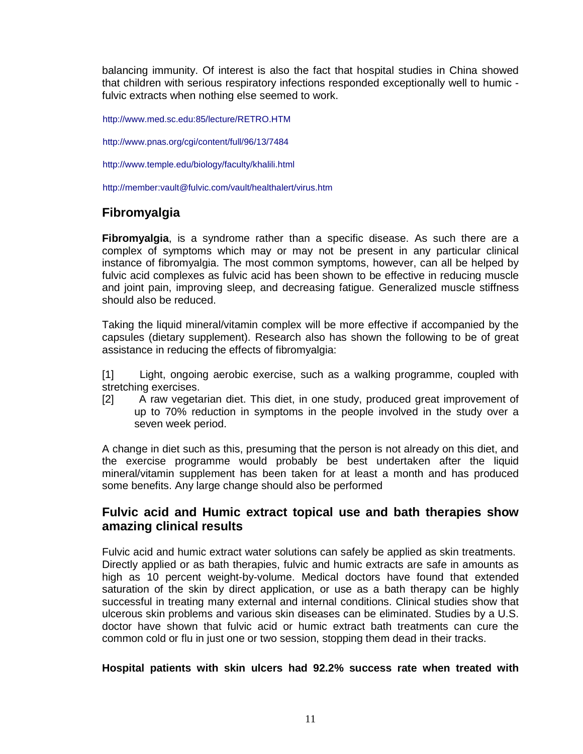balancing immunity. Of interest is also the fact that hospital studies in China showed that children with serious respiratory infections responded exceptionally well to humic fulvic extracts when nothing else seemed to work.

<http://www.med.sc.edu:85/lecture/RETRO.HTM>

[http://www.pnas.org/cgi/content/full/96/13/7484](http://member:vault@nutri-meds.com/vault/healthalert/A new study appearing in the Journal of the National Cancer Institute, shows that the JC Virus which infects about 65%25 of children by age 14, likely plays a role in the development of the most common type of malignant brain tumor found in children.  This finding is consistent with many other recent reports linking viruses to cancer.)

<span id="page-11-0"></span><http://www.temple.edu/biology/faculty/khalili.html>

<http://member:vault@fulvic.com/vault/healthalert/virus.htm>

## **Fibromyalgia**

**Fibromyalgia**, is a syndrome rather than a specific disease. As such there are a complex of symptoms which may or may not be present in any particular clinical instance of fibromyalgia. The most common symptoms, however, can all be helped by fulvic acid complexes as fulvic acid has been shown to be effective in reducing muscle and joint pain, improving sleep, and decreasing fatigue. Generalized muscle stiffness should also be reduced.

Taking the liquid mineral/vitamin complex will be more effective if accompanied by the capsules (dietary supplement). Research also has shown the following to be of great assistance in reducing the effects of fibromyalgia:

[1] Light, ongoing aerobic exercise, such as a walking programme, coupled with stretching exercises.

[2] A raw vegetarian diet. This diet, in one study, produced great improvement of up to 70% reduction in symptoms in the people involved in the study over a seven week period.

A change in diet such as this, presuming that the person is not already on this diet, and the exercise programme would probably be best undertaken after the liquid mineral/vitamin supplement has been taken forat least a month and has produced some benefits. Any large change should also be performed

## <span id="page-11-1"></span>**Fulvic acid and Humic extract topical use and bath therapies show amazing clinical results**

Fulvic acid and humic extract water solutions can safely be applied as skin treatments. Directly applied or as bath therapies, fulvic and humic extracts are safe in amounts as high as 10 percent weight-by-volume. Medical doctors have found that extended saturation of the skin by direct application, or use as a bath therapy can be highly successful in treating many external and internal conditions. Clinical studies show that ulcerous skin problems and various skin diseases can be eliminated. Studies by a U.S. doctor have shown that fulvic acid or humic extract bath treatments can cure the common cold or flu in just one or two session, stopping them dead in their tracks.

#### **Hospital patients with skin ulcers had 92.2% success rate when treated with**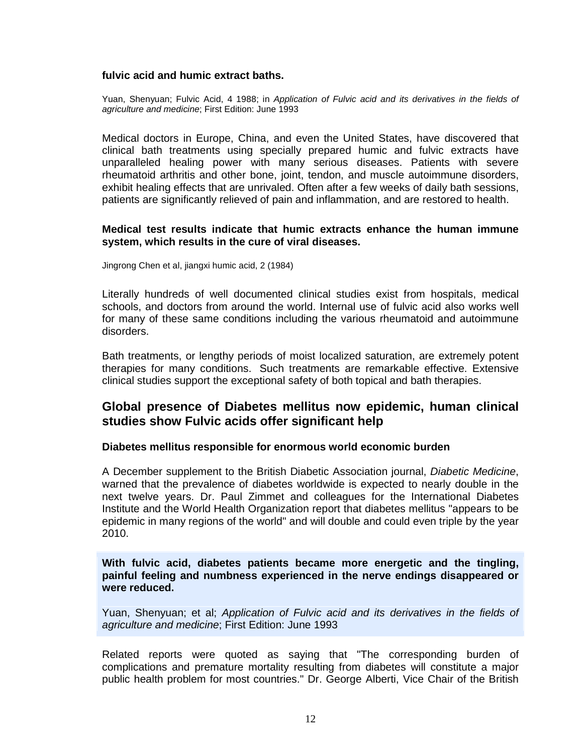#### **fulvic acid and humic extract baths.**

Yuan, Shenyuan; Fulvic Acid, 4 1988; in Application of Fulvic acid and its derivatives in the fields of agriculture and medicine; First Edition: June 1993

Medical doctors in Europe, China, and even the United States, have discovered that clinical bath treatments using specially prepared humic and fulvic extracts have unparalleled healing power with many serious diseases. Patients with severe rheumatoid arthritis and other bone, joint, tendon, and muscle autoimmune disorders, exhibit healing effects that are unrivaled. Often after a few weeks of daily bath sessions, patients are significantly relieved of pain and inflammation, and are restored to health.

#### **Medical test results indicate that humic extracts enhance the human immune system, which results in the cure of viral diseases.**

Jingrong Chen et al, jiangxi humic acid, 2 (1984)

Literally hundreds of well documented clinical studies exist from hospitals, medical schools, and doctors from around the world. Internal use of fulvic acid also works well for many of these same conditions including the various rheumatoid and autoimmune disorders.

Bath treatments, or lengthy periods of moist localized saturation, are extremely potent therapies for many conditions. Such treatments are remarkable effective. Extensive clinical studies support the exceptional safety of both topical and bath therapies.

## <span id="page-12-1"></span><span id="page-12-0"></span>**Global presence of Diabetes mellitus now epidemic, human clinical studies show Fulvic acids offer significant help**

#### **Diabetes mellitus responsible for enormous world economic burden**

A December supplement to the British Diabetic Association journal, Diabetic Medicine, warned that the prevalence of diabetes worldwide is expected to nearly double in the next twelve years. Dr. Paul Zimmet and colleagues for the International Diabetes Institute and the World Health Organization report that diabetes mellitus "appears to be epidemic in many regions of the world" and will double and could even triple by the year 2010.

#### **With fulvic acid, diabetes patients became more energetic and the tingling, painful feeling and numbness experienced in the nerve endings disappeared or were reduced.**

Yuan, Shenyuan; et al; Application of Fulvic acid and its derivatives in the fields of agriculture and medicine; First Edition: June 1993

Related reports were quoted as saying that "The corresponding burden of complications and premature mortality resulting from diabetes will constitute a major public health problem for most countries." Dr. George Alberti, Vice Chair of the British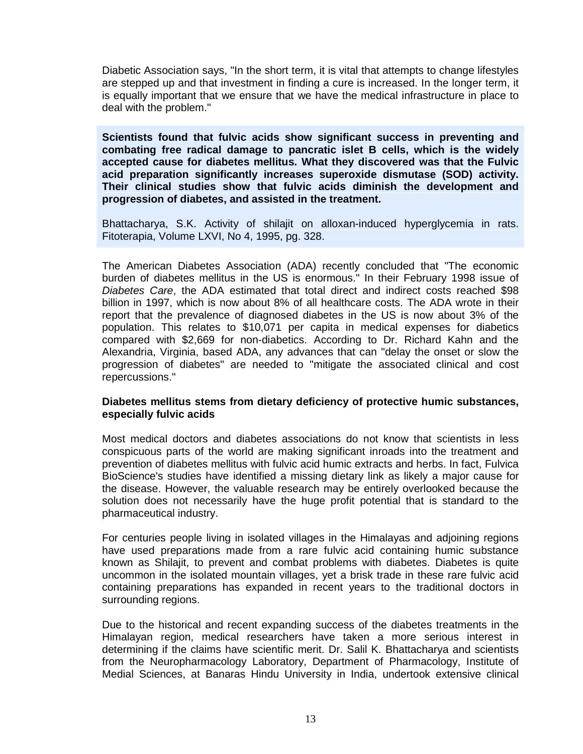Diabetic Association says, "In the short term, it is vital that attempts to change lifestyles are stepped up and that investment in finding a cure is increased. In the longer term, it is equally important that we ensure that we have the medical infrastructure in place to deal with the problem."

**Scientists found that fulvic acids show significant success in preventing and combating free radical damage to pancratic islet B cells, which is the widely accepted cause for diabetes mellitus. What they discovered was that the Fulvic acid preparation significantly increases superoxide dismutase (SOD) activity. Their clinical studies show that fulvic acids diminish the development and progression of diabetes, and assisted in the treatment.**

Bhattacharya, S.K. Activity of shilajit on alloxan-induced hyperglycemia in rats. Fitoterapia, Volume LXVI, No 4, 1995, pg. 328.

The American Diabetes Association (ADA) recently concluded that "The economic burden of diabetes mellitus in the US is enormous." In their February 1998 issue of Diabetes Care, the ADA estimated that total direct and indirect costs reached \$98 billion in 1997, which is now about 8% of all healthcare costs. The ADA wrote in their report that the prevalence of diagnosed diabetes in the US is now about 3% of the population. This relates to \$10,071 per capita in medical expenses for diabetics compared with \$2,669 for non-diabetics. According to Dr. Richard Kahn and the Alexandria, Virginia, based ADA, any advances that can "delay the onset or slow the progression of diabetes" are needed to "mitigate the associated clinical and cost repercussions."

#### <span id="page-13-0"></span>**Diabetes mellitus stems from dietary deficiency of protective humic substances, especially fulvic acids**

Most medical doctors and diabetes associations do not know that scientists in less conspicuous parts of the world are making significant inroads into the treatment and prevention of diabetes mellitus with fulvic acid humic extracts and herbs. In fact, Fulvica BioScience's studies have identified a missing dietary link as likely a major cause for the disease. However, the valuable research may be entirely overlooked because the solution does not necessarily have the huge profit potential that is standard to the pharmaceutical industry.

For centuries people living in isolated villages in the Himalayas and adjoining regions have used preparations made from a rare fulvic acid containing humic substance known as Shilajit, to prevent and combat problems with diabetes. Diabetes is quite uncommon in the isolated mountain villages, yet a brisk trade in these rare fulvic acid containing preparations has expanded in recent years to the traditional doctors in surrounding regions.

Due to the historical and recent expanding success of the diabetes treatments in the Himalayan region, medical researchers have taken a more serious interest in determining if the claims have scientific merit. Dr. Salil K. Bhattacharya and scientists from the Neuropharmacology Laboratory, Department of Pharmacology, Institute of Medial Sciences, at Banaras Hindu University in India, undertook extensive clinical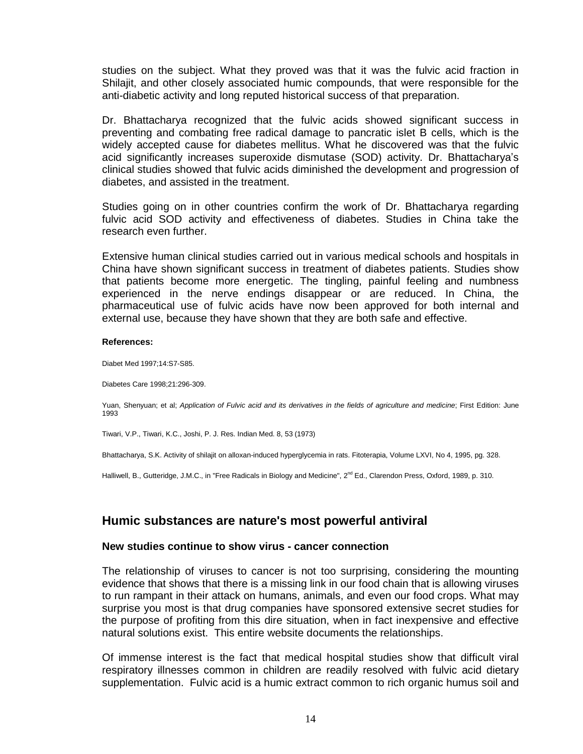studies on the subject. What they proved was that it was the fulvic acid fraction in Shilajit, and other closely associated humic compounds, that were responsible for the anti-diabetic activity and long reputed historical success of that preparation.

Dr. Bhattacharya recognized that the fulvic acids showed significant success in preventing and combating free radical damage to pancratic islet B cells, which is the widely accepted cause for diabetes mellitus. What he discovered was that the fulvic acid significantly increases superoxide dismutase (SOD) activity. Dr. Bhattacharyaís clinical studies showed that fulvic acids diminished the development and progression of diabetes, and assisted in the treatment.

Studies going on in other countries confirm the work of Dr. Bhattacharya regarding fulvic acid SOD activity and effectiveness of diabetes. Studies in China take the research even further.

Extensive human clinical studies carried out in various medical schools and hospitals in China have shown significant success in treatment of diabetes patients. Studies show that patients become more energetic. The tingling, painful feeling and numbness experienced in the nerve endings disappear or are reduced. In China, the pharmaceutical use of fulvic acids have now been approved for both internal and external use, because they have shown that they are both safe and effective.

#### **References:**

Diabet Med 1997;14:S7-S85.

Diabetes Care 1998;21:296-309.

Yuan, Shenyuan; et al; Application of Fulvic acid and its derivatives in the fields of agriculture and medicine; First Edition: June 1993

Tiwari, V.P., Tiwari, K.C., Joshi, P. J. Res. Indian Med. 8, 53 (1973)

Bhattacharya, S.K. Activity of shilajit on alloxan-induced hyperglycemia in rats. Fitoterapia, Volume LXVI, No 4, 1995, pg. 328.

Halliwell, B., Gutteridge, J.M.C., in "Free Radicals in Biology and Medicine", 2<sup>nd</sup> Ed., Clarendon Press, Oxford, 1989, p. 310.

## <span id="page-14-1"></span><span id="page-14-0"></span>**Humic substances are nature's most powerful antiviral**

#### **New studies continue to show virus -cancer connection**

The relationship of viruses to cancer is not too surprising, considering the mounting evidence that shows that there is a missing link in ourfood chain that is allowing viruses to run rampant in their attack on humans, animals, and even our food crops. What may surprise you most is that drug companies have sponsored extensive secret studies for the purpose of profiting from this dire situation, when in fact inexpensive and effective natural solutions exist. This entire website documents the relationships.

Of immense interest is the fact that medical hospital studies show that difficult viral respiratory illnesses common in children are readily resolved with fulvic acid dietary supplementation. Fulvic acid is a humic extract common to rich organic humus soil and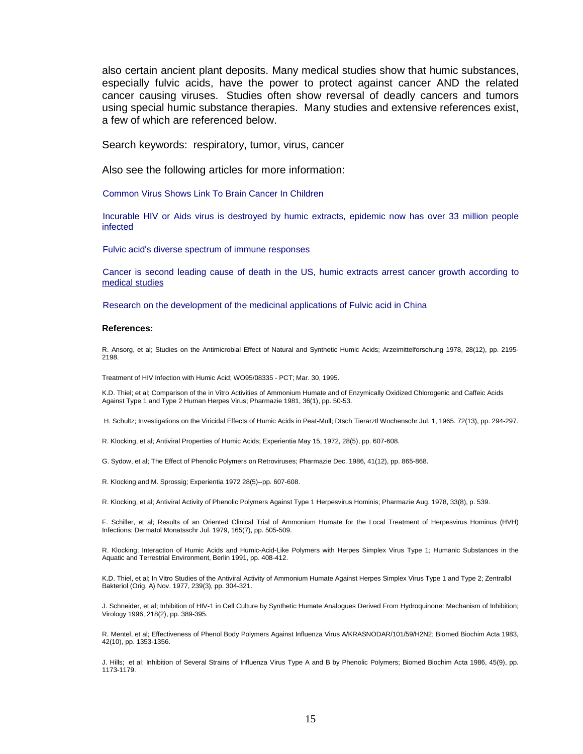also certain ancient plant deposits. Many medical studies show that humic substances, especially fulvic acids, have the power to protect against cancer AND the related cancer causing viruses. Studies often show reversal of deadly cancers and tumors using special humic substance therapies. Many studies and extensive references exist, a few of which are referenced below.

Search keywords: respiratory, tumor, virus, cancer

Also see the following articles for more information:

[Common](http://member:vault@nutri-meds.com/vault/healthalert/polyoma.htm) Virus Shows Link To Brain Cancer In Children

[Incurab](http://www.fulvic.com/vault/healthalert/hiv.htm)le HIV or Aids virus is destroyed by humic extracts, epidemic now has over 33 million people infected

Fulvic acid's diverse spectrum of immune [responses](http://www.fulvic.com/vault/medicalnews/immune_response.htm)

[Cancer](http://www.fulvic.com/vault/healthalert/cancer.htm) is second leading cause of death in the US, humic extracts arrest cancer growth according to medical studies

Research on the [development](http://www.fulvic.com/vault/medicalnews/development.htm) of the medicinal applications of Fulvic acid in China

#### **References:**

R. Ansorg, et al; Studies on the Antimicrobial Effect of Natural and Synthetic Humic Acids; Arzeimittelforschung 1978, 28(12), pp. 2195- 2198.

Treatment of HIV Infection with Humic Acid; WO95/08335 - PCT; Mar. 30, 1995.

K.D. Thiel; et al; Comparison of the in Vitro Activities of Ammonium Humate and of Enzymically Oxidized Chlorogenic and Caffeic Acids Against Type 1 and Type 2 Human Herpes Virus; Pharmazie 1981, 36(1), pp. 50-53.

H. Schultz; Investigations on the Viricidal Effects of Humic Acids in Peat-Mull; Dtsch Tierarztl Wochenschr Jul. 1, 1965. 72(13), pp. 294-297.

R. Klocking, et al; Antiviral Properties of Humic Acids; Experientia May 15, 1972, 28(5), pp. 607-608.

G. Sydow, et al; The Effect of Phenolic Polymers on Retroviruses; Pharmazie Dec. 1986, 41(12), pp. 865-868.

R. Klocking and M. Sprossig; Experientia 1972 28(5)--pp. 607-608.

R. Klocking, et al; Antiviral Activity of Phenolic Polymers Against Type 1 Herpesvirus Hominis; Pharmazie Aug. 1978, 33(8), p. 539.

F. Schiller, et al; Results of an Oriented Clinical Trial of Ammonium Humate forthe Local Treatment of Herpesvirus Hominus (HVH) Infections; Dermatol Monatsschr Jul. 1979, 165(7), pp. 505-509.

R. Klocking; Interaction of Humic Acids and Humic-Acid-Like Polymers with Herpes Simplex Virus Type 1; Humanic Substances in the Aquatic and Terrestrial Environment, Berlin 1991, pp. 408-412.

K.D. Thiel, et al; In Vitro Studies of the Antiviral Activity of Ammonium Humate Against Herpes Simplex Virus Type 1 and Type 2; Zentralbl Bakteriol (Orig. A) Nov. 1977, 239(3), pp. 304-321.

J. Schneider, et al; Inhibition of HIV-1 in Cell Culture by Synthetic Humate Analogues Derived From Hydroquinone: Mechanism of Inhibition; Virology 1996, 218(2), pp. 389-395.

R. Mentel, et al; Effectiveness of Phenol Body Polymers Against Influenza Virus A/KRASNODAR/101/59/H2N2; Biomed Biochim Acta 1983, 42(10), pp. 1353-1356.

J. Hills; et al; Inhibition of Several Strains of Influenza Virus Type A and B by Phenolic Polymers; Biomed Biochim Acta 1986, 45(9), pp. 1173-1179.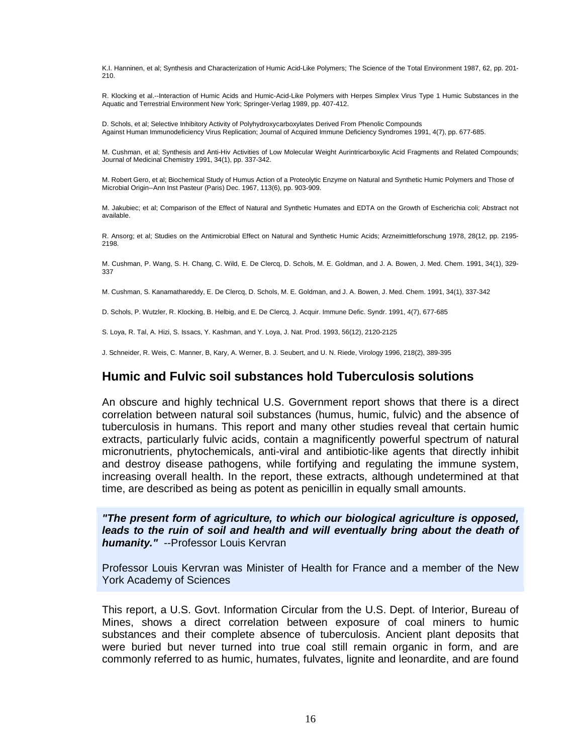K.I. Hanninen, et al; Synthesis and Characterization of Humic Acid-Like Polymers; The Science of the Total Environment 1987, 62, pp. 201- 210.

R. Klocking et al.--Interaction of Humic Acids and Humic-Acid-Like Polymers with Herpes Simplex Virus Type 1 Humic Substances in the Aquatic and Terrestrial Environment New York; Springer-Verlag 1989, pp. 407-412.

D. Schols, et al; Selective Inhibitory Activity of Polyhydroxycarboxylates Derived From Phenolic Compounds Against Human Immunodeficiency Virus Replication; Journal of Acquired Immune Deficiency Syndromes 1991, 4(7), pp. 677-685.

M. Cushman, et al; Synthesis and Anti-Hiv Activities of Low Molecular Weight Aurintricarboxylic Acid Fragments and Related Compounds; Journal of Medicinal Chemistry 1991, 34(1), pp. 337-342.

M. Robert Gero, et al; Biochemical Study of Humus Action of a Proteolytic Enzyme on Natural and Synthetic Humic Polymers and Those of Microbial Origin--Ann Inst Pasteur (Paris) Dec. 1967, 113(6), pp. 903-909.

M. Jakubiec; et al; Comparison of the Effect of Natural and Synthetic Humates and EDTA on the Growth of Escherichia coli; Abstract not available.

R. Ansorg; et al; Studies on the Antimicrobial Effect on Natural and Synthetic Humic Acids; Arzneimittleforschung 1978, 28(12, pp. 2195- 2198.

M. Cushman, P. Wang, S. H. Chang, C. Wild, E. De Clercq, D. Schols, M. E. Goldman, and J. A. Bowen, J. Med. Chem. 1991, 34(1), 329- 337

M. Cushman, S. Kanamathareddy, E. De Clercq, D. Schols, M. E. Goldman, and J. A. Bowen, J. Med. Chem. 1991, 34(1), 337-342

D. Schols, P. Wutzler, R. Klocking, B. Helbig, and E. De Clercq, J. Acquir. Immune Defic. Syndr. 1991, 4(7), 677-685

<span id="page-16-0"></span>S. Loya, R. Tal, A. Hizi, S. Issacs, Y. Kashman, and Y. Loya, J. Nat. Prod. 1993, 56(12), 2120-2125

J. Schneider, R. Weis, C. Manner, B, Kary, A. Werner, B. J. Seubert, and U. N. Riede, Virology 1996, 218(2), 389-395

## **Humic and Fulvic soilsubstances hold Tuberculosis solutions**

An obscure and highly technical U.S. Government report shows that there is a direct correlation between natural soil substances (humus, humic, fulvic) and the absence of tuberculosis in humans. This report and many other studies reveal that certain humic extracts, particularly fulvic acids, contain a magnificently powerful spectrum of natural micronutrients, phytochemicals, anti-viral and antibiotic-like agents that directly inhibit and destroy disease pathogens, while fortifying and regulating the immune system, increasing overall health. In the report, these extracts, although undetermined at that time, are described as being as potent as penicillin in equally small amounts.

**"The present form of agriculture, to which our biological agriculture is opposed, leads to the ruin of soil and health and will eventually bring about the death of humanity."** --Professor Louis Kervran

Professor Louis Kervran was Minister of Health for France and a member of the New York Academy of Sciences

This report, a U.S. Govt. Information Circular from the U.S.Dept. of Interior, Bureau of Mines, shows a direct correlation between exposure of coal miners to humic substances and their complete absence of tuberculosis. Ancient plant deposits that were buried but never turned into true coal still remain organic in form, and are commonly referred to as humic, humates, fulvates, lignite and leonardite, and are found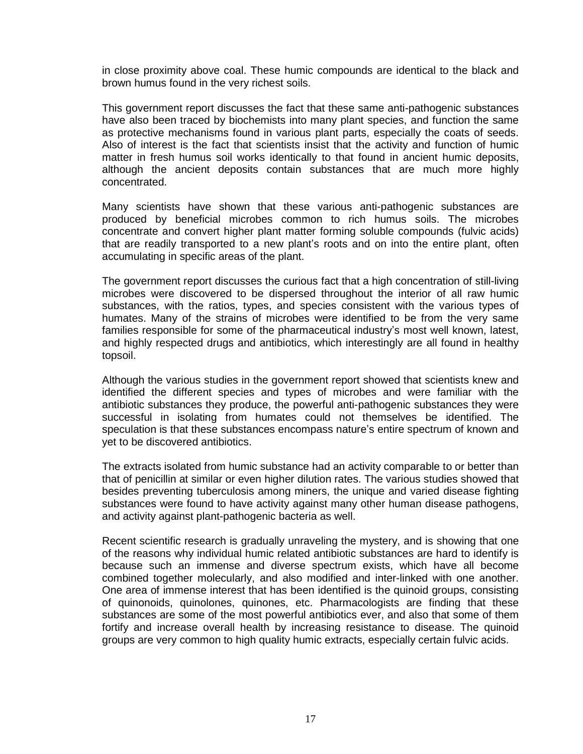in close proximity above coal. These humic compounds are identical to the black and brown humus found in the very richest soils.

This government report discusses the fact that these same anti-pathogenic substances have also been traced by biochemists into many plant species, and function the same as protective mechanisms found in various plant parts, especially the coats of seeds. Also of interest is the fact that scientists insist that the activity and function of humic matter in fresh humus soil works identically to that found in ancient humic deposits, although the ancient deposits contain substances that are much more highly concentrated.

Many scientists have shown that these various anti-pathogenic substances are produced by beneficial microbes common to rich humus soils. The microbes concentrate and convert higher plant matter forming soluble compounds (fulvic acids) that are readily transported to a new plant's roots and on into the entire plant, often accumulating in specific areas of the plant.

The government report discusses the curious fact that a high concentration of still-living microbes were discovered to be dispersed throughout the interior of all raw humic substances, with the ratios, types, and species consistent with the various types of humates. Many of the strains of microbes were identified to be from the very same families responsible for some of the pharmaceutical industry's most well known, latest, and highly respected drugs and antibiotics, which interestingly are all found in healthy topsoil.

Although the various studies in the government report showed that scientists knew and identified the different species and types of microbes and were familiar with the antibiotic substances they produce, the powerful anti-pathogenic substances they were successful in isolating from humates could not themselves be identified. The speculation is that these substances encompass nature's entire spectrum of known and yet to be discovered antibiotics.

The extracts isolated from humic substance had an activity comparable to or better than that of penicillin at similar or even higher dilution rates. The various studies showed that besides preventing tuberculosis among miners, the unique and varied disease fighting substances were found to have activity against many other human disease pathogens, and activity against plant-pathogenic bacteria as well.

Recent scientific research is gradually unraveling the mystery, and is showing that one of the reasons why individual humic related antibiotic substances are hard to identify is because such an immense and diverse spectrum exists, which have all become combined together molecularly, and also modified and inter-linked with one another. One area of immense interest that has been identified is the quinoid groups, consisting of quinonoids, quinolones, quinones, etc. Pharmacologists are finding that these substances are some of the most powerful antibiotics ever, and also that some of them fortify and increase overall health by increasing resistance to disease. The quinoid groups are very common to high quality humic extracts, especially certain fulvic acids.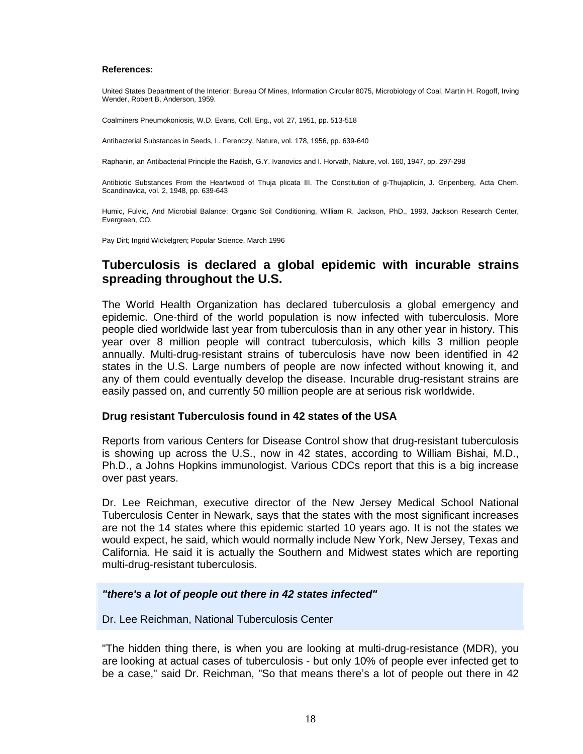#### **References:**

United States Department of the Interior: Bureau Of Mines, Information Circular 8075, Microbiology of Coal, Martin H. Rogoff, Irving Wender, Robert B. Anderson, 1959.

Coalminers Pneumokoniosis, W.D. Evans, Coll. Eng., vol. 27, 1951, pp. 513-518

Antibacterial Substances in Seeds, L. Ferenczy, Nature, vol. 178, 1956, pp. 639-640

Raphanin, an Antibacterial Principle the Radish, G.Y. Ivanovics and I. Horvath, Nature, vol. 160, 1947, pp. 297-298

Antibiotic Substances From the Heartwood of Thuja plicata III. The Constitution of g-Thujaplicin, J. Gripenberg, Acta Chem. Scandinavica, vol. 2, 1948, pp. 639-643

Humic, Fulvic, And Microbial Balance: Organic Soil Conditioning, William R. Jackson, PhD., 1993, Jackson Research Center, Evergreen, CO.

<span id="page-18-0"></span>Pay Dirt; Ingrid Wickelgren; Popular Science, March 1996

## **Tuberculosis is declared a global epidemic with incurable strains spreading throughout the U.S.**

The World Health Organization has declared tuberculosis a global emergency and epidemic. One-third of the world population is now infected with tuberculosis. More people died worldwide last year from tuberculosis than in any other year in history. This year over 8 million people will contract tuberculosis, which kills 3 million people annually. Multi-drug-resistant strains of tuberculosis have now been identified in 42 states in the U.S. Large numbers of people are now infected without knowing it, and any of them could eventually develop the disease. Incurable drug-resistant strains are easily passed on, and currently 50 million people are at serious risk worldwide.

#### <span id="page-18-1"></span>**Drug resistant Tuberculosis found in 42 states of the USA**

Reports from various Centers for Disease Control show that drug-resistant tuberculosis is showing up across the U.S., now in42 states, according to William Bishai, M.D., Ph.D., a Johns Hopkins immunologist. Various CDCs report that this is a big increase over past years.

Dr. Lee Reichman, executive director of the New Jersey Medical School National Tuberculosis Center in Newark, says that the states with the most significant increases are not the 14 states where this epidemic started 10 years ago. It is not the states we would expect, he said, which would normally include New York, New Jersey, Texas and California. He said it is actually the Southern and Midwest states which are reporting multi-drug-resistant tuberculosis.

#### **"there's a lot of people out there in 42 states infected"**

Dr. Lee Reichman, National Tuberculosis Center

"The hidden thing there, is when you are looking at multi-drug-resistance (MDR), you are looking at actual cases of tuberculosis - but only 10% of people ever infected get to be a case," said Dr. Reichman, "So that means there's a lot of people out there in 42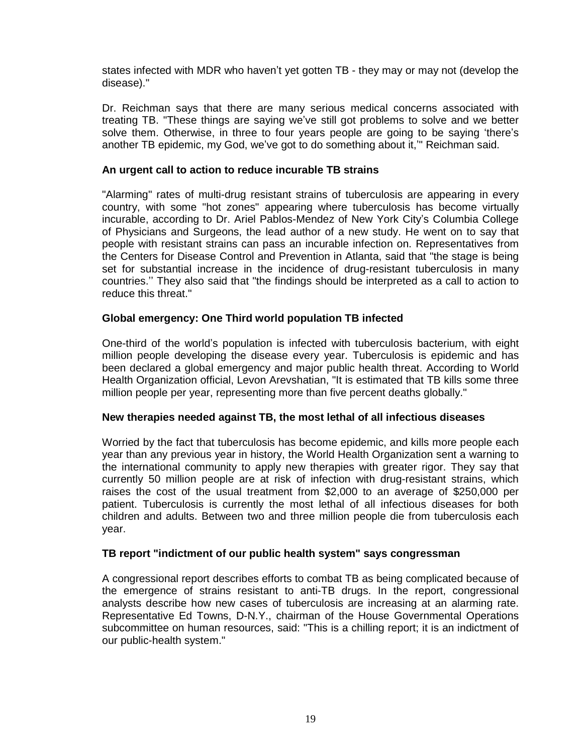states infected with MDR who haven't yet gotten TB - they may or may not (develop the disease)."

<span id="page-19-0"></span>Dr. Reichman says that there are many serious medical concerns associated with treating TB. "These things are saying we've still got problems to solve and we better solve them. Otherwise, in three to four years people are going to be saying 'there's another TB epidemic, my God, we've got to do something about it," Reichman said.

#### **An urgent call to action to reduce incurable TB strains**

"Alarming" rates of multi-drug resistant strains of tuberculosis are appearing in every country, with some "hot zones" appearing where tuberculosis has become virtually incurable, according to Dr. Ariel Pablos-Mendez of New York Cityís Columbia College of Physicians and Surgeons, the lead author of a new study. He went on to say that people with resistant strains can pass an incurable infection on. Representatives from the Centers for Disease Control and Prevention in Atlanta, said that"the stage is being set for substantial increase in the incidence of drug-resistant tuberculosis in many countries." They also said that "the findings should be interpreted as a call to action to reduce this threat."

#### <span id="page-19-1"></span>**Global emergency: One Third world population TB infected**

One-third of the worldís population is infected with tuberculosis bacterium, with eight million people developing the disease every year. Tuberculosis is epidemic and has been declared a global emergency and major public health threat. According to World Health Organization official, Levon Arevshatian, "It is estimated that TB kills some three million people per year, representing more than five percent deaths globally."

#### <span id="page-19-2"></span>**New therapies needed against TB, the most lethal of all infectious diseases**

Worried by the fact that tuberculosis has become epidemic, and kills more people each year than any previous year in history, the World Health Organization sent a warning to the international community to apply new therapies with greater rigor. They say that currently 50 million people are at risk of infection with drug-resistant strains, which raises the cost of the usual treatment from \$2,000 to an average of \$250,000 per patient. Tuberculosis is currently the most lethal of all infectious diseases for both children and adults. Between two and three million people die from tuberculosis each year.

#### <span id="page-19-3"></span>**TB report "indictment of our public health system" says congressman**

A congressional report describes efforts to combat TB as being complicated because of the emergence of strains resistant to anti-TB drugs. In the report, congressional analysts describe how new cases of tuberculosis are increasing at an alarming rate. Representative Ed Towns, D-N.Y., chairman of the House Governmental Operations subcommittee on human resources, said: "This is a chilling report; it is an indictment of our public-health system."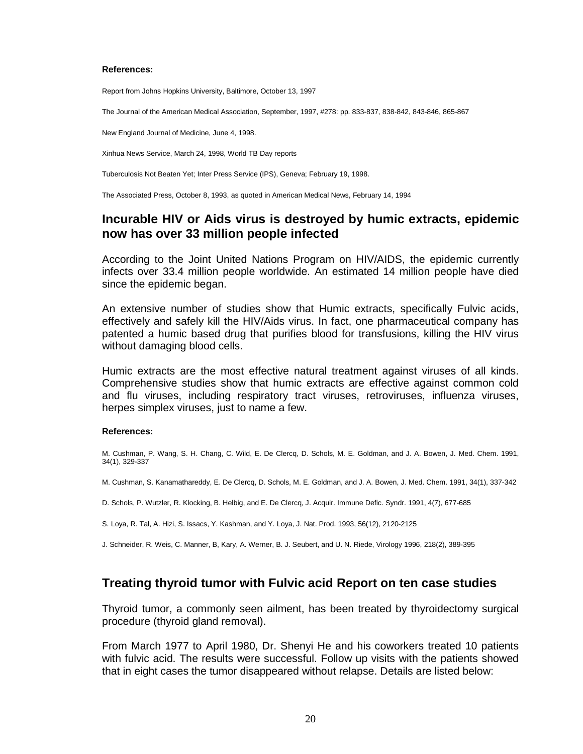#### **References:**

Report from Johns Hopkins University, Baltimore, October 13, 1997

The Journal of the American Medical Association, September, 1997, #278: pp. 833-837, 838-842, 843-846, 865-867

New England Journal of Medicine, June 4, 1998.

Xinhua News Service, March 24, 1998, World TB Day reports

Tuberculosis Not Beaten Yet; Inter Press Service (IPS), Geneva; February 19, 1998.

<span id="page-20-0"></span>The Associated Press, October 8, 1993, as quoted in American Medical News, February 14, 1994

## **Incurable HIV or Aids virus is destroyed by humic extracts, epidemic now has over 33 million people infected**

According to the Joint United Nations Program on HIV/AIDS, the epidemic currently infects over 33.4 million people worldwide. An estimated 14 million people have died since the epidemic began.

An extensive number of studies show that Humic extracts, specifically Fulvic acids, effectively and safely kill the HIV/Aids virus. In fact, one pharmaceutical company has patented a humic based drug that purifies blood for transfusions, killing the HIV virus without damaging blood cells.

Humic extracts are the most effective natural treatment against viruses of all kinds. Comprehensive studies show that humic extracts are effective against common cold and flu viruses, including respiratory tract viruses, retroviruses, influenza viruses, herpes simplex viruses, just to name a few.

#### **References:**

M. Cushman, P. Wang, S. H. Chang, C. Wild, E. De Clercq, D. Schols, M. E. Goldman, and J. A. Bowen, J. Med. Chem. 1991, 34(1), 329-337

M. Cushman, S. Kanamathareddy, E. De Clercq, D. Schols, M. E. Goldman, and J. A. Bowen, J. Med. Chem. 1991, 34(1), 337-342

D. Schols, P. Wutzler, R. Klocking, B. Helbig, and E. De Clercq, J. Acquir. Immune Defic. Syndr. 1991, 4(7), 677-685

S. Loya, R. Tal, A. Hizi, S. Issacs, Y. Kashman, and Y. Loya, J. Nat. Prod. 1993, 56(12), 2120-2125

J. Schneider, R. Weis, C. Manner, B, Kary, A. Werner, B. J. Seubert, and U. N. Riede, Virology 1996, 218(2), 389-395

## <span id="page-20-1"></span>**Treating thyroid tumor with Fulvic acid Report on ten case studies**

Thyroid tumor, a commonly seen ailment, has been treated by thyroidectomy surgical procedure (thyroid gland removal).

From March 1977 to April 1980, Dr. Shenyi He and his coworkers treated 10 patients with fulvic acid. The results were successful. Follow up visits with the patients showed that in eight cases the tumor disappeared without relapse. Details are listed below: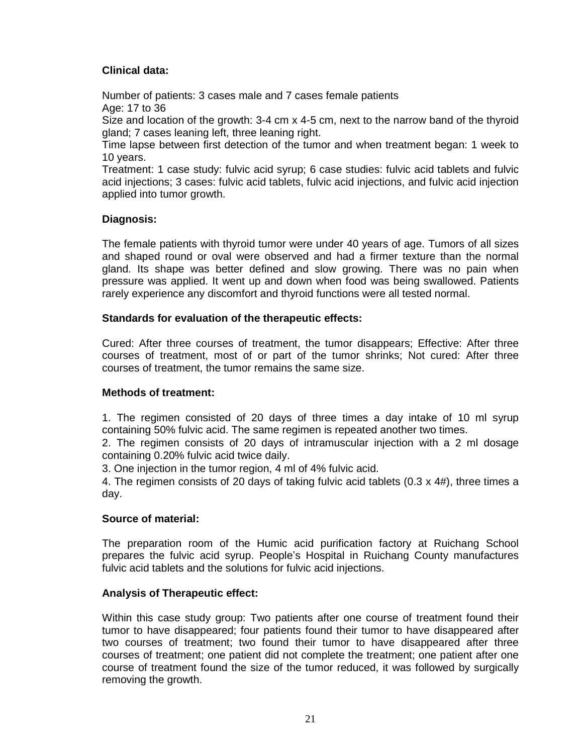## <span id="page-21-0"></span>**Clinical data:**

Number of patients: 3 cases male and 7 cases female patients Age: 17 to 36

Size and location of the growth: 3-4 cm x 4-5 cm, next to the narrow band of the thyroid gland; 7 cases leaning left, three leaning right.

Time lapse between first detection of the tumor and when treatment began: 1 week to 10 years.

<span id="page-21-1"></span>Treatment: 1 case study: fulvic acid syrup; 6 case studies: fulvic acid tablets and fulvic acid injections; 3 cases: fulvic acid tablets, fulvic acid injections, and fulvic acid injection applied into tumor growth.

#### **Diagnosis:**

The female patients with thyroid tumor were under 40 years of age. Tumors of all sizes and shaped round or oval were observed and had a firmer texture than the normal gland. Its shape was better defined and slow growing. There was no pain when pressure was applied. It went up and down when food was being swallowed. Patients rarely experience any discomfort and thyroid functions were all tested normal.

#### <span id="page-21-2"></span>**Standards for evaluation of the therapeutic effects:**

<span id="page-21-3"></span>Cured: After three courses of treatment, the tumor disappears; Effective: After three courses of treatment, most of or part of the tumor shrinks; Not cured: After three courses of treatment, the tumor remains the same size.

#### **Methods of treatment:**

1. The regimen consisted of 20 days of three times a day intake of 10 ml syrup containing 50% fulvic acid. The same regimen is repeated another two times.

2. The regimen consists of 20 days of intramuscular injection with a 2 ml dosage containing 0.20% fulvic acid twice daily.

3. One injection in the tumor region, 4 ml of 4% fulvic acid.

<span id="page-21-4"></span>4. The regimen consists of 20 days of taking fulvic acid tablets (0.3 x 4#), three times a day.

#### **Source of material:**

The preparation room of the Humic acid purification factory at Ruichang School prepares the fulvic acid syrup. Peopleís Hospital in Ruichang County manufactures fulvic acid tablets and the solutions for fulvic acid injections.

#### <span id="page-21-5"></span>**Analysis of Therapeutic effect:**

Within this case study group: Two patients after one course of treatment found their tumor to have disappeared; four patients found their tumor to have disappeared after two courses of treatment; two found their tumor to have disappeared after three courses of treatment; one patient did not complete the treatment; one patient after one course of treatment found the size of the tumor reduced, it was followed by surgically removing the growth.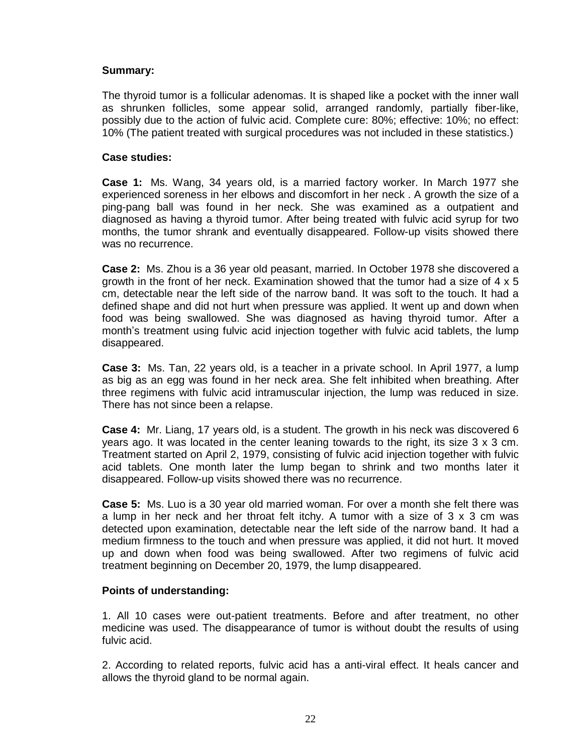#### <span id="page-22-0"></span>**Summary:**

<span id="page-22-1"></span>The thyroid tumor is a follicular adenomas. It is shaped like a pocket with the inner wall as shrunken follicles, some appear solid, arranged randomly, partially fiber-like, possibly due to the action of fulvic acid. Complete cure: 80%; effective: 10%; no effect: 10% (The patient treated with surgical procedures was not included in these statistics.)

#### <span id="page-22-2"></span>**Case studies:**

**Case 1:** Ms. Wang, 34 years old, is a married factory worker. In March 1977 she experienced soreness in her elbows and discomfort in her neck . A growth the size of a ping-pang ball was found in her neck. She was examined as a outpatient and diagnosed as having a thyroid tumor. After being treated with fulvic acid syrup for two months, the tumor shrank and eventually disappeared. Follow-up visits showed there was no recurrence.

<span id="page-22-3"></span>**Case 2:** Ms. Zhou is a 36 year old peasant, married. In October 1978 she discovered a growth in the front of her neck. Examination showed that the tumor had a size of 4 x 5 cm, detectable near the left side of the narrow band. It was soft to the touch. It had a defined shape and did not hurt when pressure was applied. It went up and down when food was being swallowed. She was diagnosed as having thyroid tumor. After a monthís treatment using fulvic acid injection together with fulvic acid tablets, the lump disappeared.

<span id="page-22-4"></span>**Case 3:** Ms. Tan, 22 years old, is a teacher in a private school. In April 1977, a lump as big as an egg was found in her neck area. She felt inhibited when breathing. After three regimens with fulvic acid intramuscular injection, the lump was reduced in size. There has not since been a relapse.

<span id="page-22-5"></span>**Case 4:** Mr. Liang, 17 years old, is a student. The growth in his neck was discovered 6 years ago. It was located in the center leaning towards to the right, its size 3 x 3 cm. Treatment started on April 2, 1979, consisting of fulvic acid injection together with fulvic acid tablets. One month later the lump began to shrink and two months later it disappeared. Follow-up visits showed there was no recurrence.

<span id="page-22-6"></span>**Case 5:** Ms. Luo is a 30 year old married woman. For over a month she felt there was a lump in her neck and her throat felt itchy. A tumor with a size of  $3 \times 3$  cm was detected upon examination, detectable near the left side of the narrow band. It had a medium firmness to the touch and when pressure was applied, it did not hurt. It moved up and down when food was being swallowed. After two regimens of fulvic acid treatment beginning on December 20, 1979, the lump disappeared.

#### <span id="page-22-7"></span>**Points of understanding:**

1. All 10 cases were out-patient treatments. Before and after treatment, no other medicine was used. The disappearance of tumor is without doubt the results of using fulvic acid.

2. According to related reports, fulvic acid has a anti-viral effect. It heals cancer and allows the thyroid gland to be normal again.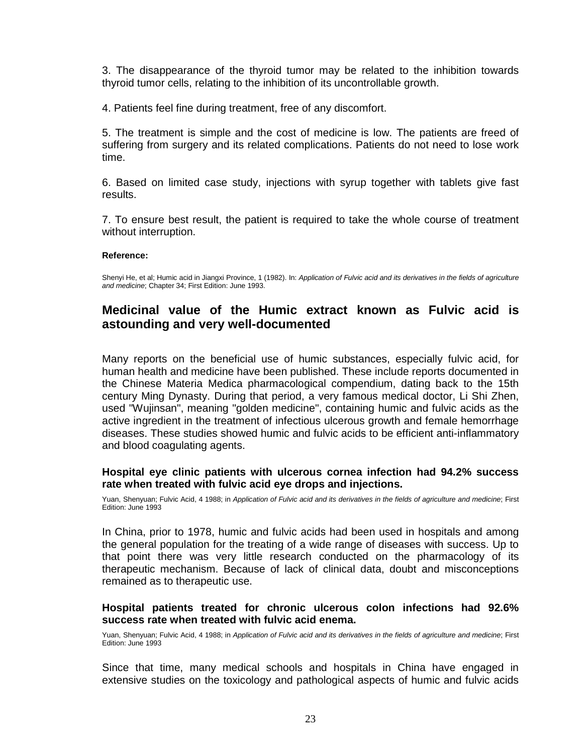3. The disappearance of the thyroid tumor may be related to the inhibition towards thyroid tumor cells, relating to the inhibition of its uncontrollable growth.

4. Patients feel fine during treatment, free of any discomfort.

5. The treatment is simple and the cost of medicine is low. The patients are freed of suffering from surgery and its related complications. Patients do not need to lose work time.

6. Based on limited case study, injections with syrup together with tablets give fast results.

7. To ensure best result, the patient is required to take the whole course of treatment without interruption.

#### **Reference:**

<span id="page-23-0"></span>Shenyi He, et al; Humic acid in Jiangxi Province, 1 (1982). In: Application of Fulvic acid and its derivatives in the fields of agriculture and medicine; Chapter 34; First Edition: June 1993.

## **Medicinal value ofthe Humic extract known as Fulvic acid is astounding and very well-documented**

Many reports on the beneficial use of humic substances, especially fulvic acid, for human health and medicine have been published. These include reports documented in the Chinese Materia Medica pharmacological compendium, dating back to the 15th century Ming Dynasty. During that period, a very famous medical doctor, Li Shi Zhen, used "Wujinsan", meaning "golden medicine", containing humic and fulvic acids as the active ingredient in the treatment of infectious ulcerous growth and female hemorrhage diseases. These studies showed humic and fulvic acids to be efficient anti-inflammatory and blood coagulating agents.

#### **Hospital eye clinic patients with ulcerous cornea infection had 94.2% success rate when treated with fulvic acid eye drops and injections.**

Yuan, Shenyuan; Fulvic Acid, 4 1988; in Application of Fulvic acid and its derivatives in the fields of agriculture and medicine; First Edition: June 1993

In China, prior to 1978, humic and fulvic acids had been used in hospitals and among the general population for the treating of a wide range of diseases with success. Up to that point there was very little research conducted on the pharmacology of its therapeutic mechanism. Because of lack of clinical data, doubt and misconceptions remained as to therapeutic use.

#### **Hospital patients treated for chronic ulcerous colon infections had 92.6% success rate when treated with fulvic acid enema.**

Yuan, Shenyuan; Fulvic Acid, 4 1988; in Application of Fulvic acid and its derivatives in the fields of agriculture and medicine; First Edition: June 1993

Since that time, many medical schools and hospitals in China have engaged in extensive studies on the toxicology and pathological aspects of humic and fulvic acids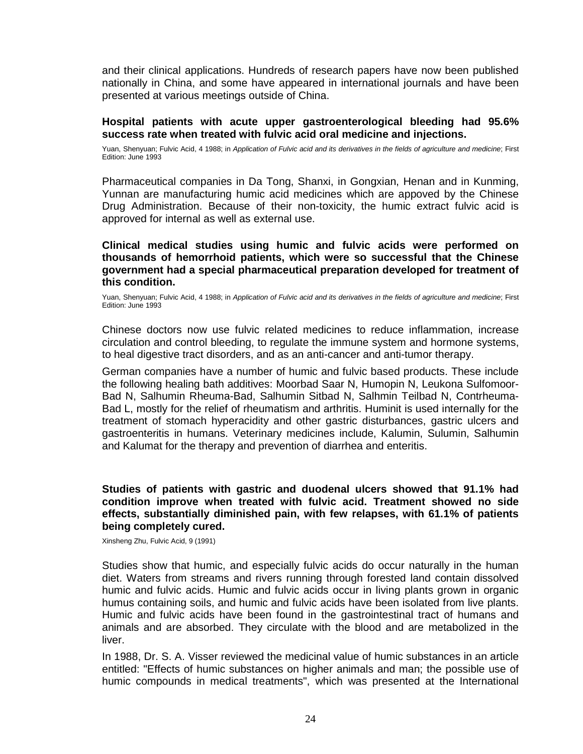and their clinical applications. Hundreds of research papers have now been published nationally in China, and some have appeared in international journals and have been presented at various meetings outside of China.

#### **Hospital patients with acute upper gastroenterological bleeding had 95.6% success rate when treated with fulvic acid oral medicine and injections.**

Yuan, Shenyuan; Fulvic Acid, 4 1988; in Application of Fulvic acid and its derivatives in the fields of agriculture and medicine; First Edition: June 1993

Pharmaceutical companies in Da Tong, Shanxi, in Gongxian, Henan and in Kunming, Yunnan are manufacturing humic acid medicines which are appoved by the Chinese Drug Administration. Because of their non-toxicity, the humic extract fulvic acid is approved for internal as well as external use.

#### **Clinical medical studies using humic and fulvic acids were performed on thousands of hemorrhoid patients, which were so successful that the Chinese government had a special pharmaceutical preparation developed fortreatment of this condition.**

Yuan, Shenyuan; Fulvic Acid, 4 1988; in Application of Fulvic acid and its derivatives in the fields of agriculture and medicine; First Edition: June 1993

Chinese doctors now use fulvic related medicines to reduce inflammation, increase circulation and control bleeding, to regulate the immune system and hormone systems, to heal digestive tract disorders, and as an anti-cancer and anti-tumor therapy.

German companies have a number of humic and fulvic based products. These include the following healing bath additives: Moorbad Saar N, Humopin N, Leukona Sulfomoor- Bad N, Salhumin Rheuma-Bad, Salhumin Sitbad N, Salhmin Teilbad N, Contrheuma- Bad L, mostly for the relief of rheumatism and arthritis. Huminit is used internally for the treatment of stomach hyperacidity and other gastric disturbances, gastric ulcers and gastroenteritis in humans. Veterinary medicines include, Kalumin, Sulumin, Salhumin and Kalumat for the therapy and prevention of diarrhea and enteritis.

#### **Studies of patients with gastric and duodenal ulcers showed that 91.1% had condition improve when treated with fulvic acid. Treatment showed no side effects, substantially diminished pain, with few relapses, with 61.1% of patients being completely cured.**

Xinsheng Zhu, Fulvic Acid, 9 (1991)

Studies show that humic, and especially fulvic acids do occur naturally in the human diet. Waters from streams and rivers running through forested land contain dissolved humic and fulvic acids. Humic and fulvic acids occur in living plants grown in organic humus containing soils, and humic and fulvic acids have been isolated from live plants. Humic and fulvic acids have been found in the gastrointestinal tract of humans and animals and are absorbed. They circulate with the blood and are metabolized in the liver.

In 1988, Dr. S. A. Visser reviewed the medicinal value of humic substances in an article entitled: "Effects of humic substances on higher animals and man; the possible use of humic compounds in medical treatments", which was presented at the International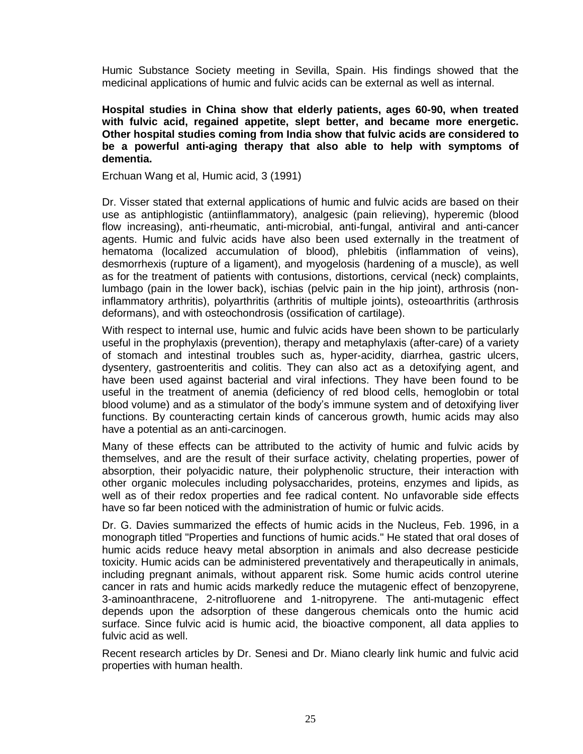Humic Substance Society meeting in Sevilla, Spain. His findings showed that the medicinal applications of humic and fulvic acids can be external as well as internal.

**Hospital studies in China show that elderly patients, ages 60-90, when treated with fulvic acid, regained appetite, slept better, and became more energetic. Other hospital studies coming from India show that fulvic acids are considered to be a powerful anti-aging therapy that also able to help with symptoms of dementia.**

Erchuan Wang et al, Humic acid, 3 (1991)

Dr. Visser stated that external applications of humic and fulvic acids are based on their use as antiphlogistic (antiinflammatory), analgesic (pain relieving), hyperemic (blood flow increasing), anti-rheumatic, anti-microbial, anti-fungal, antiviral and anti-cancer agents. Humic and fulvic acids have also been used externally in the treatment of hematoma (localized accumulation of blood), phlebitis (inflammation of veins), desmorrhexis (rupture of a ligament), and myogelosis (hardening of a muscle), as well as for the treatment of patients with contusions, distortions, cervical (neck) complaints, lumbago (pain in the lower back), ischias (pelvic pain in the hip joint), arthrosis (noninflammatory arthritis), polyarthritis (arthritis of multiple joints), osteoarthritis (arthrosis deformans), and with osteochondrosis (ossification of cartilage).

With respect to internal use, humic and fulvic acids have been shown to be particularly useful in the prophylaxis (prevention), therapy and metaphylaxis (after-care) of a variety of stomach and intestinal troubles such as, hyper-acidity, diarrhea, gastric ulcers, dysentery, gastroenteritis and colitis. They can also act as a detoxifying agent, and have been used against bacterial and viral infections. They have been found to be useful in the treatment of anemia (deficiency of red blood cells, hemoglobin or total blood volume) and as a stimulator of the body's immune system and of detoxifying liver functions. By counteracting certain kinds of cancerous growth, humic acids may also have a potential as an anti-carcinogen.

Many of these effects can be attributed to the activity of humic and fulvic acids by themselves, and are the result of their surface activity, chelating properties, power of absorption, their polyacidic nature, their polyphenolic structure, their interaction with other organic molecules including polysaccharides, proteins, enzymes and lipids, as well as of their redox properties and fee radical content. No unfavorable side effects have so far been noticed with the administration of humic or fulvic acids.

Dr. G. Davies summarized the effects of humic acids in the Nucleus, Feb. 1996, in a monograph titled "Properties and functions of humic acids." He stated that oral doses of humic acids reduce heavy metal absorption in animals and also decrease pesticide toxicity. Humic acids can be administered preventatively and therapeutically in animals, including pregnant animals, without apparent risk. Some humic acids control uterine cancer in rats and humic acids markedly reduce the mutagenic effect of benzopyrene, 3-aminoanthracene, 2-nitrofluorene and 1-nitropyrene. The anti-mutagenic effect depends upon the adsorption of these dangerous chemicals onto the humic acid surface. Since fulvic acid is humic acid, the bioactive component, all data applies to fulvic acid as well.

Recent research articles by Dr. Senesi and Dr. Miano clearly link humic and fulvic acid properties with human health.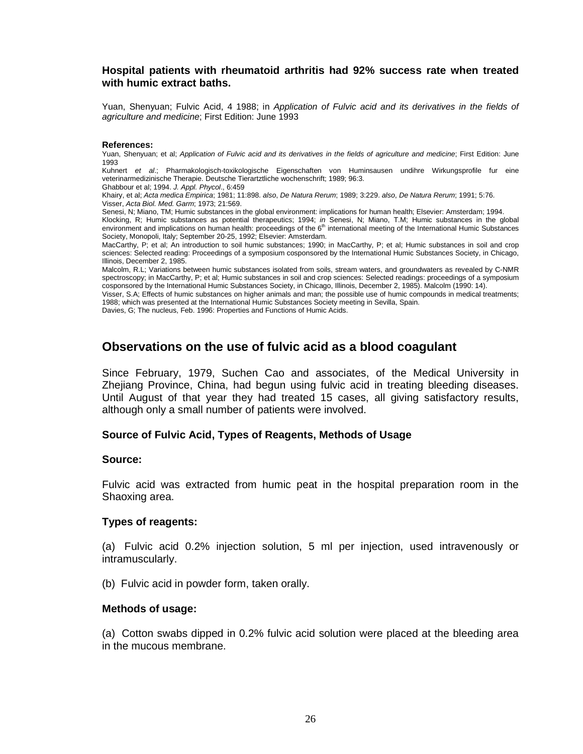#### <span id="page-26-0"></span>**Hospital patients with rheumatoid arthritis had 92% success rate when treated with humic extract baths.**

Yuan, Shenyuan; Fulvic Acid, 4 1988; in Application of Fulvic acid and its derivatives in the fields of agriculture and medicine; First Edition: June 1993

#### **References:**

Yuan, Shenyuan; et al; Application of Fulvic acid and its derivatives in the fields of agriculture and medicine; First Edition: June 1993

Kuhnert et al.; Pharmakologisch-toxikologische Eigenschaften von Huminsausen undihre Wirkungsprofile fur eine veterinarmedizinische Therapie. Deutsche Tierartztliche wochenschrift; 1989; 96:3.

Ghabbour et al; 1994. J. Appl. Phycol., 6:459

Khairy, et al; Acta medica Empirica; 1981; 11:898. also, De Natura Rerum; 1989; 3:229. also, De Natura Rerum; 1991; 5:76. Visser, Acta Biol. Med. Garm; 1973; 21:569.

Senesi, N; Miano, TM; Humic substances in the global environment: implications for human health; Elsevier: Amsterdam; 1994. Klocking, R; Humic substances as potential therapeutics; 1994; *in* Senesi, N; Miano, T.M; Humic substances in the global environment and implications on human health: proceedings of the 6<sup>th</sup> international meeting of the International Humic Substances

Society, Monopoli, Italy; September 20-25, 1992; Elsevier: Amsterdam. MacCarthy, P; et al; An introduction to soil humic substances; 1990; in MacCarthy, P; et al; Humic substances in soil and crop sciences: Selected reading: Proceedings of a symposium cosponsored by the International Humic Substances Society, in Chicago, Illinois, December 2, 1985.

Malcolm, R.L; Variations between humic substances isolated from soils, stream waters, and groundwaters as revealed by C-NMR spectroscopy; in MacCarthy, P; et al; Humic substances in soil and crop sciences: Selected readings: proceedings of a symposium cosponsored by the International Humic Substances Society, in Chicago, Illinois, December 2, 1985). Malcolm (1990: 14).

<span id="page-26-1"></span>Visser, S.A; Effects of humic substances on higher animals and man; the possible use of humic compounds in medical treatments; 1988; which was presented at the International Humic Substances Society meeting in Sevilla, Spain.

Davies, G; The nucleus, Feb. 1996: Properties and Functions of Humic Acids.

## **Observations on the use of fulvic acid as a blood coagulant**

Since February, 1979, Suchen Cao and associates, of the Medical University in Zhejiang Province, China, had begun using fulvic acid in treating bleeding diseases. Until August of that year they had treated 15 cases, all giving satisfactory results, although only a small number of patients were involved.

#### <span id="page-26-3"></span><span id="page-26-2"></span>**Source of Fulvic Acid, Types of Reagents, Methods of Usage**

#### **Source:**

<span id="page-26-4"></span>Fulvic acid was extracted from humic peat in the hospital preparation room in the Shaoxing area.

#### **Types of reagents:**

(a) Fulvic acid 0.2% injection solution, 5 ml per injection, used intravenously or intramuscularly.

<span id="page-26-5"></span>(b) Fulvic acid in powder form, taken orally.

#### **Methods of usage:**

(a) Cotton swabs dipped in 0.2% fulvic acid solution were placed at the bleeding area in the mucous membrane.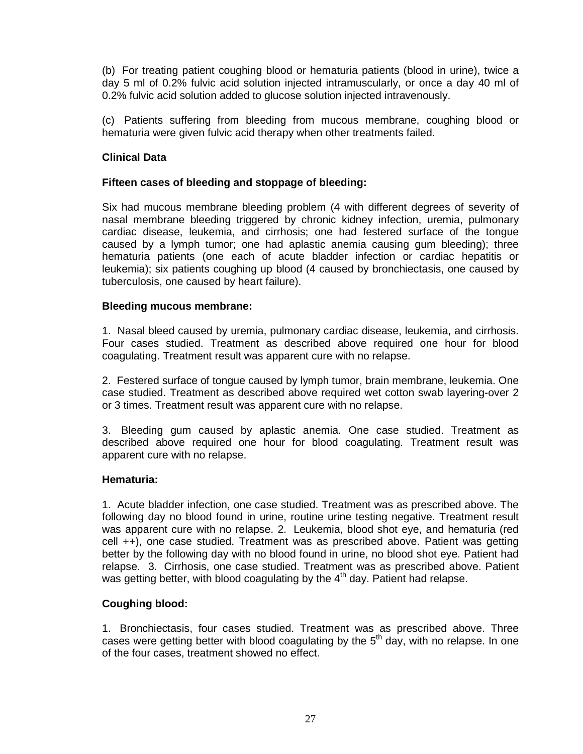(b) For treating patient coughing blood or hematuria patients (blood in urine), twice a day 5 ml of 0.2% fulvic acid solution injected intramuscularly, or once a day 40 ml of 0.2% fulvic acid solution added to glucose solution injected intravenously.

<span id="page-27-1"></span><span id="page-27-0"></span>(c) Patients suffering from bleeding from mucous membrane, coughing blood or hematuria were given fulvic acid therapy when other treatments failed.

## **Clinical Data**

#### **Fifteen cases of bleeding and stoppage of bleeding:**

Six had mucous membrane bleeding problem (4 with different degrees of severity of nasal membrane bleeding triggered by chronic kidney infection, uremia, pulmonary cardiac disease, leukemia, and cirrhosis; one had festered surface of the tongue caused by a lymph tumor; one had aplastic anemia causing gum bleeding); three hematuria patients (one each of acute bladder infection or cardiac hepatitis or leukemia); six patients coughing up blood (4 caused by bronchiectasis, one caused by tuberculosis, one caused by heart failure).

#### <span id="page-27-2"></span>**Bleeding mucous membrane:**

1. Nasal bleed caused by uremia, pulmonary cardiac disease, leukemia, and cirrhosis. Four cases studied. Treatment as described above required one hour for blood coagulating. Treatment result was apparent cure with no relapse.

2. Festered surface of tongue caused by lymph tumor, brain membrane, leukemia. One case studied. Treatment as described above required wet cotton swab layering-over 2 or 3 times. Treatment result was apparent cure with no relapse.

3. Bleeding gum caused by aplastic anemia. One case studied. Treatment as described above required one hour for blood coagulating. Treatment result was apparent cure with no relapse.

#### <span id="page-27-3"></span>**Hematuria:**

1. Acute bladder infection, one case studied. Treatment was as prescribed above. The following day no blood found in urine, routine urine testing negative. Treatment result was apparent cure with no relapse. 2. Leukemia, blood shot eye, and hematuria (red cell ++), one case studied. Treatment was as prescribed above. Patient was getting better by the following day with no blood found in urine, no blood shot eye. Patient had relapse. 3. Cirrhosis, one case studied. Treatment was as prescribed above. Patient was getting better, with blood coagulating by the 4<sup>th</sup> day. Patient had relapse.

#### <span id="page-27-4"></span>**Coughing blood:**

1. Bronchiectasis, four cases studied. Treatment was as prescribed above. Three cases were getting better with blood coagulating by the 5<sup>th</sup> day, with no relapse. In one of the four cases, treatment showed no effect.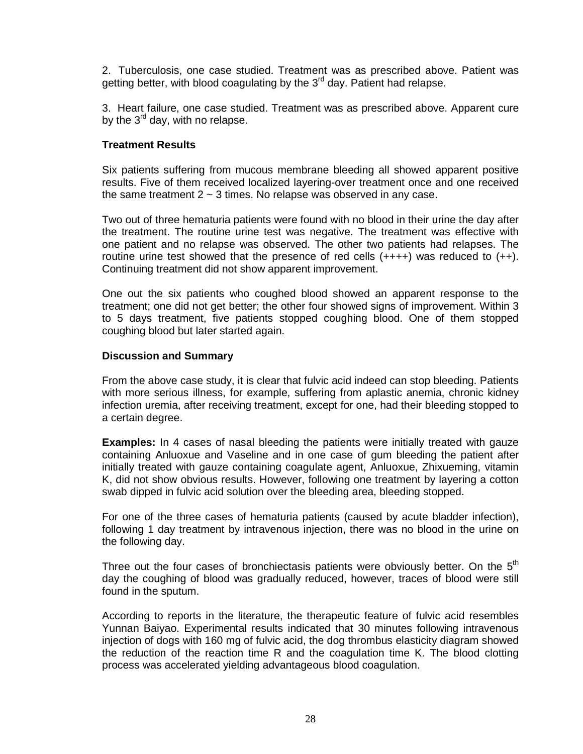2. Tuberculosis, one case studied. Treatment was as prescribed above. Patient was getting better, with blood coagulating by the 3<sup>rd</sup> day. Patient had relapse.

<span id="page-28-0"></span>3. Heart failure, one case studied. Treatment was as prescribed above. Apparent cure by the 3<sup>rd</sup> day, with no relapse.

#### **Treatment Results**

Six patients suffering from mucous membrane bleeding all showed apparent positive results. Five of them received localized layering-over treatment once and one received the same treatment  $2 \sim 3$  times. No relapse was observed in any case.

Two out of three hematuria patients were found with no blood in their urine the day after the treatment. The routine urine testwas negative. The treatment was effective with one patient and no relapse was observed. The other two patients had relapses. The routine urine test showed that the presence of red cells  $(++++)$  was reduced to  $(++)$ . Continuing treatment did not show apparent improvement.

One out the six patients who coughed blood showed an apparent response to the treatment; one did not get better; the other four showed signs of improvement. Within 3 to 5 days treatment, five patients stopped coughing blood. One of them stopped coughing blood but later started again.

#### <span id="page-28-1"></span>**Discussion and Summary**

From the above case study, it is clear that fulvic acid indeed can stop bleeding. Patients with more serious illness, for example, suffering from aplastic anemia, chronic kidney infection uremia, after receiving treatment, except for one, had their bleeding stopped to a certain degree.

<span id="page-28-2"></span>**Examples:** In 4 cases of nasal bleeding the patients were initially treated with gauze containing Anluoxue and Vaseline and in one case of gum bleeding the patient after initially treated with gauze containing coagulate agent, Anluoxue, Zhixueming, vitamin K, did not show obvious results. However, following one treatment by layering a cotton swab dipped in fulvic acid solution over the bleeding area, bleeding stopped.

For one of the three cases of hematuria patients (caused by acute bladder infection), following 1 day treatment by intravenous injection, there was no blood in the urine on the following day.

Three out the four cases of bronchiectasis patients were obviously better. On the 5<sup>th</sup> day the coughing of blood was gradually reduced, however, traces of blood were still found in the sputum.

According to reports in the literature, the therapeutic feature of fulvic acid resembles Yunnan Baiyao. Experimental results indicated that 30 minutes following intravenous injection of dogs with 160 mg of fulvic acid, the dog thrombus elasticity diagram showed the reduction of the reaction time R and the coagulation time K. The blood clotting process was accelerated yielding advantageous blood coagulation.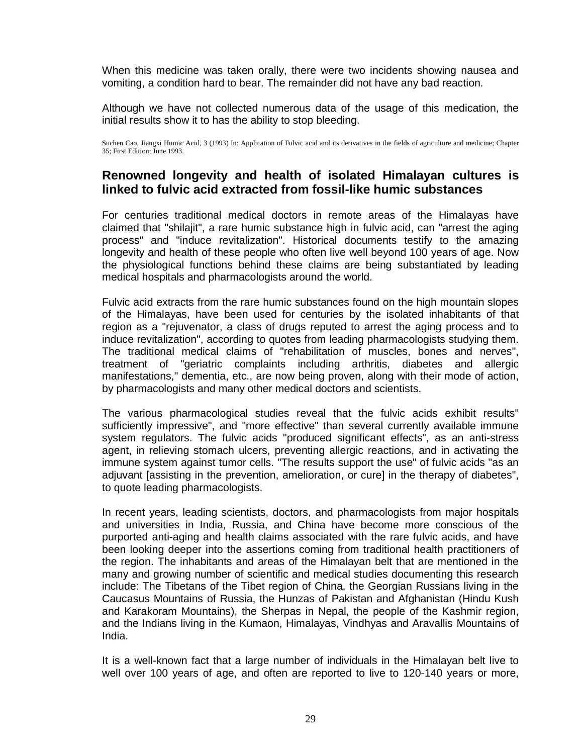When this medicine was taken orally, there were two incidents showing nausea and vomiting, a condition hard to bear. The remainder did not have any bad reaction.

Although we have not collected numerous data of the usage of this medication, the initial results show it to has the ability to stop bleeding.

<span id="page-29-0"></span>Suchen Cao, Jiangxi Humic Acid, 3 (1993) In: Application of Fulvic acid and its derivatives in the fields of agriculture and medicine; Chapter 35; First Edition: June 1993.

## **Renowned longevity and health of isolated Himalayan cultures is linked to fulvic acid extracted from fossil-like humic substances**

For centuries traditional medical doctors in remote areas of the Himalayas have claimed that"shilajit", a rare humic substance high in fulvic acid, can "arrest the aging process" and "induce revitalization". Historical documents testify to the amazing longevity and health of these people who often live well beyond 100 years of age. Now the physiological functions behind these claims are being substantiated by leading medical hospitals and pharmacologists around the world.

Fulvic acid extracts from the rare humic substances found on the high mountain slopes of the Himalayas, have been used for centuries by the isolated inhabitants of that region as a "rejuvenator, a class of drugs reputed to arrest the aging process and to induce revitalization", according to quotes from leading pharmacologists studying them. The traditional medical claims of "rehabilitation of muscles, bones and nerves", treatment of "geriatric complaints including arthritis, diabetes and allergic manifestations," dementia, etc., are now being proven, along with their mode of action, by pharmacologists and many other medical doctors and scientists.

The various pharmacological studies reveal that the fulvic acids exhibit results" sufficiently impressive", and "more effective" than several currently available immune system regulators. The fulvic acids "produced significant effects", as an anti-stress agent, in relieving stomach ulcers, preventing allergic reactions, and in activating the immune system against tumor cells. "The results support the use" of fulvic acids "as an adjuvant [assisting in the prevention, amelioration, or cure] in the therapy of diabetes", to quote leading pharmacologists.

In recent years, leading scientists, doctors, and pharmacologists from major hospitals and universities in India, Russia, and China have become more conscious of the purported anti-aging and health claims associated with the rare fulvic acids, and have been looking deeper into the assertions coming from traditional health practitioners of the region. The inhabitants and areas of the Himalayan belt that are mentioned in the many and growing number of scientific and medical studies documenting this research include: The Tibetans of the Tibet region of China, the Georgian Russians living in the Caucasus Mountains of Russia, the Hunzas of Pakistan and Afghanistan (Hindu Kush and Karakoram Mountains), the Sherpas in Nepal, the people of the Kashmir region, and the Indians living in the Kumaon, Himalayas, Vindhyas and Aravallis Mountains of India.

It is a well-known fact that a large number of individuals in the Himalayan belt live to well over 100 years of age, and often are reported to live to 120-140 years or more,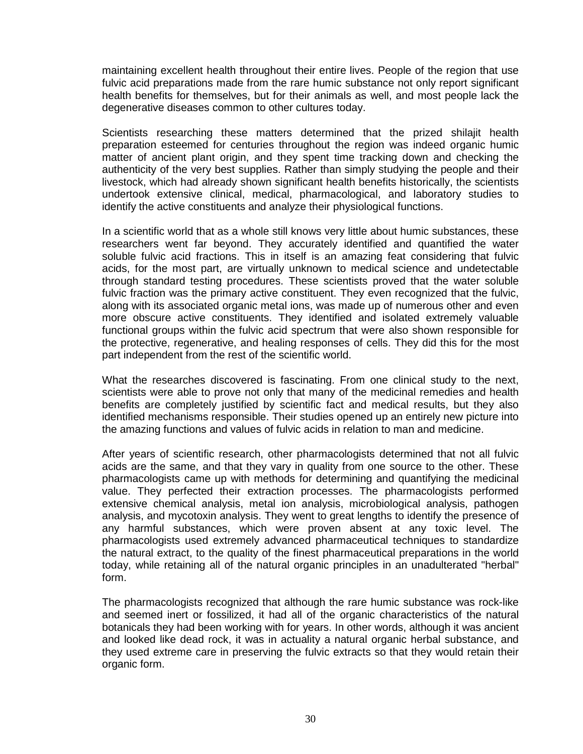maintaining excellent health throughout their entire lives. People of the region that use fulvic acid preparations made from the rare humic substance not only report significant health benefits for themselves, but for their animals as well, and most people lack the degenerative diseases common to other cultures today.

Scientists researching these matters determined that the prized shilajit health preparation esteemed for centuries throughout the region was indeed organic humic matter of ancient plant origin, and they spent time tracking down and checking the authenticity of the very best supplies. Rather than simply studying the people and their livestock, which had already shown significant health benefits historically, the scientists undertook extensive clinical, medical, pharmacological, and laboratory studies to identify the active constituents and analyze their physiological functions.

In a scientific world that as a whole still knows very little about humic substances, these researchers went far beyond. They accurately identified and quantified the water soluble fulvic acid fractions. This in itself is an amazing feat considering that fulvic acids, for the most part, are virtually unknown to medical science and undetectable through standard testing procedures. These scientists proved that the water soluble fulvic fraction was the primary active constituent. They even recognized that the fulvic, along with its associated organic metal ions, was made up of numerous other and even more obscure active constituents. They identified and isolated extremely valuable functional groups within the fulvic acid spectrum that were also shown responsible for the protective, regenerative, and healing responses of cells. They did this for the most part independent from the rest of the scientific world.

What the researches discovered is fascinating. From one clinical study to the next, scientists were able to prove not only that many of the medicinal remedies and health benefits are completely justified by scientific fact and medical results, but they also identified mechanisms responsible. Their studies opened up an entirely new picture into the amazing functions and values of fulvic acids in relation to man and medicine.

After years of scientific research, other pharmacologists determined that not all fulvic acids are the same, and that they vary in quality from one source to the other. These pharmacologists came up with methods for determining and quantifying the medicinal value. They perfected their extraction processes. The pharmacologists performed extensive chemical analysis, metal ion analysis, microbiological analysis, pathogen analysis, and mycotoxin analysis. They went to great lengths to identify the presence of any harmful substances, which were proven absent at any toxic level. The pharmacologists used extremely advanced pharmaceutical techniques to standardize the natural extract, to the quality of the finest pharmaceutical preparations in the world today, while retaining all of the natural organic principles in an unadulterated "herbal" form.

The pharmacologists recognized that although the rare humic substance was rock-like and seemed inert or fossilized, it had all of the organic characteristics of the natural botanicals they had been working with for years. In other words, although it was ancient and looked like dead rock, it was in actuality a natural organic herbal substance, and they used extreme care in preserving the fulvic extracts so that they would retain their organic form.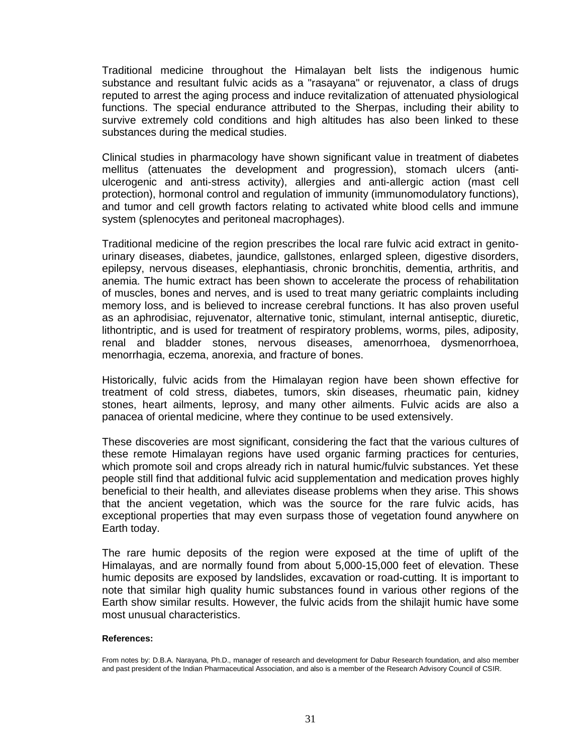Traditional medicine throughout the Himalayan belt lists the indigenous humic substance and resultant fulvic acids as a "rasayana" or rejuvenator, a class of drugs reputed to arrest the aging process and induce revitalization of attenuated physiological functions. The special endurance attributed to the Sherpas, including their ability to survive extremely cold conditions and high altitudes has also been linked to these substances during the medical studies.

Clinical studies in pharmacology have shown significant value in treatment of diabetes mellitus (attenuates the development and progression), stomach ulcers (anti ulcerogenic and anti-stress activity), allergies and anti-allergic action (mast cell protection), hormonal control and regulation of immunity (immunomodulatory functions), and tumor and cell growth factors relating to activated white blood cells and immune system (splenocytes and peritoneal macrophages).

Traditional medicine of the region prescribes the local rare fulvic acid extract in genito urinary diseases, diabetes, jaundice, gallstones, enlarged spleen, digestive disorders, epilepsy, nervous diseases, elephantiasis, chronic bronchitis, dementia, arthritis, and anemia. The humic extract has been shown to accelerate the process of rehabilitation of muscles, bones and nerves, and is used to treat many geriatric complaints including memory loss, and is believed to increase cerebral functions. It has also proven useful as an aphrodisiac, rejuvenator, alternative tonic, stimulant, internal antiseptic, diuretic, lithontriptic, and is used for treatment of respiratory problems, worms, piles, adiposity, renal and bladder stones, nervous diseases, amenorrhoea, dysmenorrhoea, menorrhagia, eczema, anorexia, and fracture of bones.

Historically, fulvic acids from the Himalayan region have been shown effective for treatment of cold stress, diabetes, tumors, skin diseases, rheumatic pain, kidney stones, heart ailments, leprosy, and many other ailments. Fulvic acids are also a panacea of oriental medicine, where they continue to be used extensively.

These discoveries are most significant, considering the fact that the various cultures of these remote Himalayan regions have used organic farming practices for centuries, which promote soil and crops already rich in natural humic/fulvic substances. Yet these people still find that additional fulvic acid supplementation and medication proves highly beneficial to their health, and alleviates disease problems when they arise. This shows that the ancient vegetation, which was the source for the rare fulvic acids, has exceptional properties that may even surpass those of vegetation found anywhere on Earth today.

The rare humic deposits of the region were exposed at the time of uplift of the Himalayas, and are normally found from about 5,000-15,000 feet of elevation. These humic deposits are exposed by landslides, excavation or road-cutting. It is important to note that similar high quality humic substances found in various other regions of the Earth show similar results. However, the fulvic acids from the shilajit humic have some most unusual characteristics.

#### **References:**

From notes by: D.B.A. Narayana, Ph.D., manager of research and development for Dabur Research foundation, and also member and past president of the Indian Pharmaceutical Association, and also is a member of the Research Advisory Council of CSIR.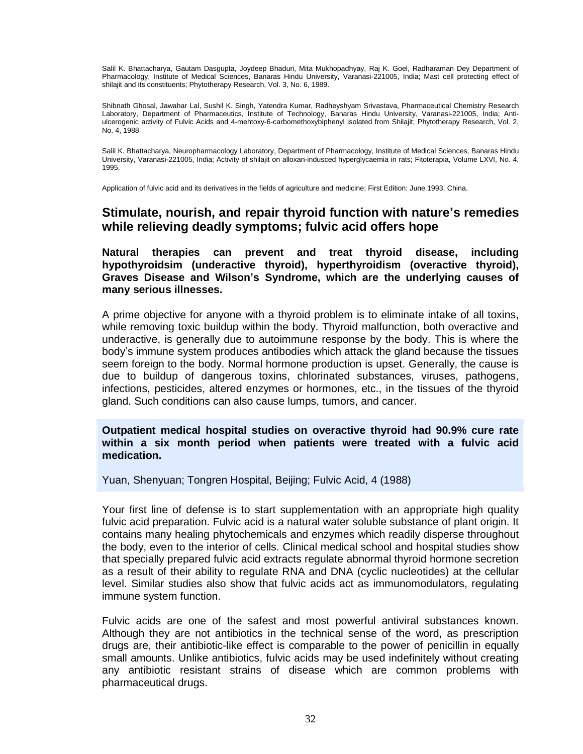Salil K. Bhattacharya, Gautam Dasgupta, Joydeep Bhaduri, Mita Mukhopadhyay, Raj K. Goel, Radharaman Dey Department of Pharmacology, Institute of Medical Sciences, Banaras Hindu University, Varanasi-221005, India; Mast cell protecting effect of shilajit and its constituents; Phytotherapy Research, Vol. 3, No. 6, 1989.

Shibnath Ghosal, Jawahar Lal, Sushil K. Singh, Yatendra Kumar, Radheyshyam Srivastava, Pharmaceutical Chemistry Research Laboratory, Department of Pharmaceutics, Institute of Technology, Banaras Hindu University, Varanasi-221005, India; Anti ulcerogenic activity of Fulvic Acids and 4-mehtoxy-6-carbomethoxybiphenyl isolated from Shilajit; Phytotherapy Research, Vol. 2, No. 4, 1988

Salil K. Bhattacharya, Neuropharmacology Laboratory, Department of Pharmacology, Institute of Medical Sciences, Banaras Hindu University, Varanasi-221005, India; Activity of shilajit on alloxan-indusced hyperglycaemia in rats; Fitoterapia, Volume LXVI, No. 4, 1995.

<span id="page-32-0"></span>Application of fulvic acid and its derivatives in the fields of agriculture and medicine; First Edition: June 1993, China.

## **Stimulate, nourish, and repair thyroid function with natureís remedies while relieving deadly symptoms; fulvic acid offers hope**

<span id="page-32-1"></span>**Natural therapies can prevent and treat thyroid disease, including hypothyroidsim (underactive thyroid), hyperthyroidism (overactive thyroid), Graves Disease and Wilsonís Syndrome, which are the underlying causes of many serious illnesses.**

A prime objective for anyone with a thyroid problem is to eliminate intake of all toxins, while removing toxic buildup within the body. Thyroid malfunction, both overactive and underactive, is generally due to autoimmune response by the body. This is where the bodyís immune system produces antibodies which attack the gland because the tissues seem foreign to the body. Normal hormone production is upset. Generally, the cause is due to buildup of dangerous toxins, chlorinated substances, viruses, pathogens, infections, pesticides, altered enzymes or hormones, etc., in the tissues of the thyroid gland. Such conditions can also cause lumps, tumors, and cancer.

**Outpatient medical hospital studies on overactive thyroid had 90.9% cure rate within a six month period when patients were treated with a fulvic acid medication.**

Yuan, Shenyuan; Tongren Hospital, Beijing; Fulvic Acid, 4 (1988)

Your first line of defense is to start supplementation with an appropriate high quality fulvic acid preparation. Fulvic acid is a natural water soluble substance of plant origin. It contains many healing phytochemicals and enzymes which readily disperse throughout the body, even to the interior of cells. Clinical medical school and hospital studies show that specially prepared fulvic acid extracts regulate abnormal thyroid hormone secretion as a result of their ability to regulate RNA and DNA (cyclic nucleotides) at the cellular level. Similar studies also show that fulvic acids act as immunomodulators, regulating immune system function.<br>Fulvic acids are one of the safest and most powerful antiviral substances known.

Although they are not antibiotics in the technical sense of the word, as prescription drugs are, their antibiotic-like effect is comparable to the power of penicillin in equally small amounts. Unlike antibiotics, fulvic acids may be used indefinitely without creating any antibiotic resistant strains of disease which are common problems with pharmaceutical drugs.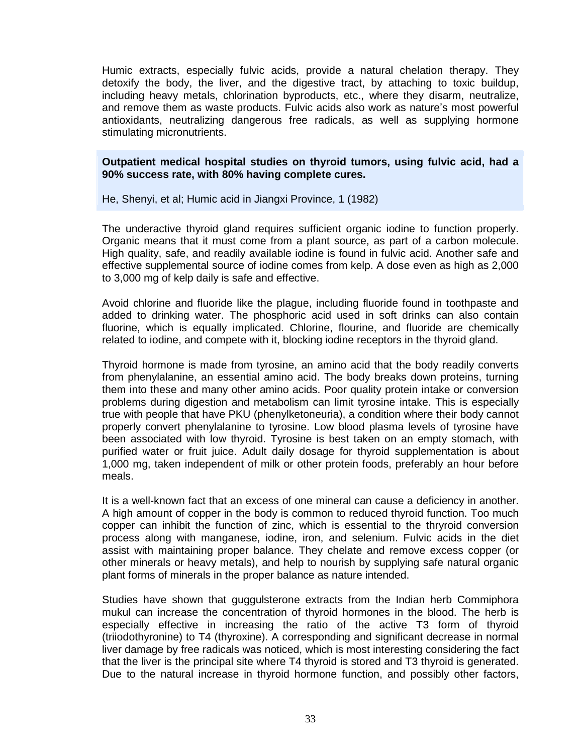Humic extracts, especially fulvic acids, provide a natural chelation therapy. They detoxify the body, the liver, and the digestive tract, by attaching to toxic buildup, including heavy metals, chlorination byproducts, etc., where they disarm, neutralize, and remove them as waste products. Fulvic acids also work as nature's most powerful antioxidants, neutralizing dangerous free radicals, as well as supplying hormone stimulating micronutrients.

#### **Outpatient medical hospital studies on thyroid tumors, using fulvic acid, had a 90% success rate, with 80% having complete cures.**

He, Shenyi, et al; Humic acid in Jiangxi Province, 1 (1982)

The underactive thyroid gland requires sufficient organic iodine to function properly. Organic means that it must come from a plant source, as part of a carbon molecule. High quality, safe, and readily available iodine is found in fulvic acid. Another safe and effective supplemental source of iodine comes from kelp. A dose even as high as 2,000 to 3,000 mg of kelp daily is safe and effective.

Avoid chlorine and fluoride like the plague, including fluoride found in toothpaste and added to drinking water. The phosphoric acid used in soft drinks can also contain fluorine, which is equally implicated. Chlorine, flourine, and fluoride are chemically related to iodine, and compete with it, blocking iodine receptors in the thyroid gland.

Thyroid hormone is made from tyrosine, an amino acid that the body readily converts from phenylalanine, an essential amino acid. The body breaks down proteins, turning them into these and many other amino acids. Poor quality protein intake or conversion problems during digestion and metabolism canlimit tyrosine intake. This is especially true with people that have PKU (phenylketoneuria), a condition where their body cannot properly convert phenylalanine to tyrosine. Low blood plasma levels of tyrosine have been associated with low thyroid. Tyrosine is best taken on an empty stomach, with purified water or fruit juice. Adult daily dosage for thyroid supplementation is about 1,000 mg, taken independent of milk or other protein foods, preferably an hour before meals.

It is a well-known fact that an excess of one mineral can cause a deficiency in another. A high amount of copper in the body is common to reduced thyroid function. Too much copper can inhibit the function of zinc, which is essential to the thryroid conversion process along with manganese, iodine, iron, and selenium. Fulvic acids in the diet assist with maintaining proper balance. They chelate and remove excess copper (or other minerals or heavy metals), and help to nourish by supplying safe natural organic plant forms of minerals in the proper balance as nature intended.

Studies have shown that guggulsterone extracts from the Indian herb Commiphora mukul can increase the concentration of thyroid hormones in the blood. The herb is especially effective in increasing the ratio of the active T3 form of thyroid (triiodothyronine) to T4 (thyroxine). A corresponding and significant decrease in normal liver damage by free radicals was noticed, which is most interesting considering the fact that the liver is the principal site where T4 thyroid is stored and T3 thyroid is generated. Due to the natural increase in thyroid hormone function, and possibly other factors,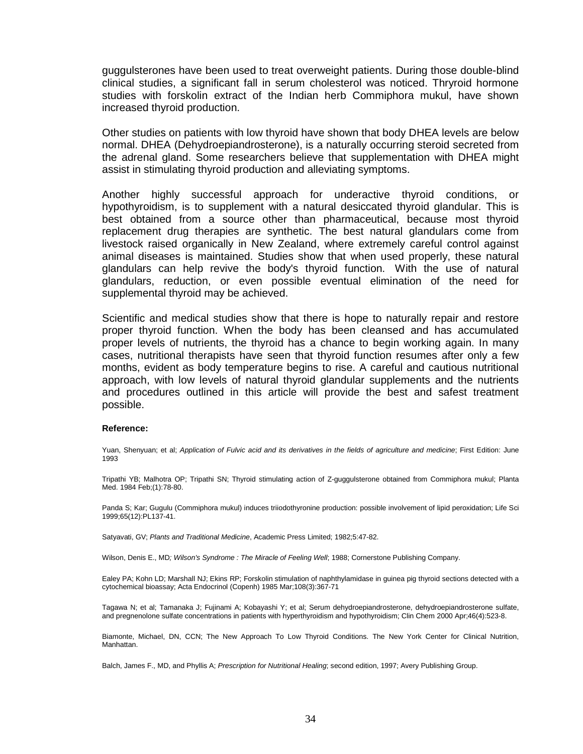guggulsterones have been used to treat overweight patients. During those double-blind clinical studies, a significant fall in serum cholesterol was noticed. Thryroid hormone studies with forskolin extract of the Indian herb Commiphora mukul, have shown increased thyroid production.

Other studies on patients with low thyroid have shown that body DHEA levels are below normal. DHEA (Dehydroepiandrosterone), is a naturally occurring steroid secreted from the adrenal gland. Some researchers believe that supplementation with DHEA might assist in stimulating thyroid production and alleviating symptoms.

Another highly successful approach for underactive thyroid conditions, or hypothyroidism, is to supplement with a natural desiccated thyroid glandular. This is best obtained from a source other than pharmaceutical, because most thyroid replacement drug therapies are synthetic. The best natural glandulars come from livestock raised organically in New Zealand, where extremely careful control against animal diseases is maintained. Studies show that when used properly, these natural glandulars can help revive the body's thyroid function. With the use of natural glandulars, reduction, or even possible eventual elimination of the need for supplemental thyroid may be achieved.

Scientific and medical studies show that there is hope to naturally repair and restore proper thyroid function. When the body has been cleansed and has accumulated proper levels of nutrients, the thyroid has a chance to begin working again. In many cases, nutritional therapists have seen that thyroid function resumes after only a few months, evident as body temperature begins to rise. A careful and cautious nutritional approach, with low levels of natural thyroid glandular supplements and the nutrients and procedures outlined in this article will provide the best and safest treatment possible.

#### **Reference:**

Yuan, Shenyuan; et al; Application of Fulvic acid and its derivatives in the fields of agriculture and medicine; First Edition: June 1993

Tripathi YB; Malhotra OP; Tripathi SN; Thyroid stimulating action of Z-guggulsterone obtained from Commiphora mukul; Planta Med. 1984 Feb;(1):78-80.

Panda S; Kar; Gugulu (Commiphora mukul) induces triiodothyronine production: possible involvement of lipid peroxidation; Life Sci 1999;65(12):PL137-41.

Satyavati, GV; Plants and Traditional Medicine, Academic Press Limited; 1982;5:47-82.

Wilson, Denis E., MD; Wilson's Syndrome : The Miracle of Feeling Well; 1988; Cornerstone Publishing Company.

Ealey PA; Kohn LD; Marshall NJ; Ekins RP; Forskolin stimulation of naphthylamidase in guinea pig thyroid sections detected with a cytochemical bioassay; Acta Endocrinol (Copenh) 1985 Mar;108(3):367-71

Tagawa N; et al; Tamanaka J; Fujinami A; Kobayashi Y; et al; Serum dehydroepiandrosterone, dehydroepiandrosterone sulfate, and pregnenolone sulfate concentrations in patients with hyperthyroidism and hypothyroidism; Clin Chem 2000 Apr;46(4):523-8.

Biamonte, Michael, DN, CCN; The New Approach To Low Thyroid Conditions. The New York Center for Clinical Nutrition, Manhattan.

Balch, James F., MD, and Phyllis A; Prescription for Nutritional Healing; second edition, 1997; Avery Publishing Group.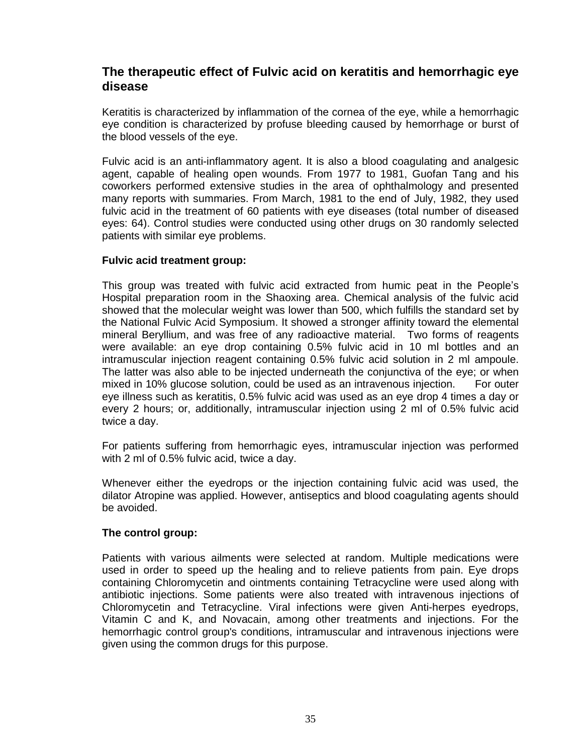## <span id="page-35-0"></span>**The therapeutic effect of Fulvic acid on keratitis and hemorrhagic eye disease**

Keratitis is characterized by inflammation of the cornea of the eye, while a hemorrhagic eye condition is characterized by profuse bleeding caused by hemorrhage or burst of the blood vessels of the eye.

Fulvic acid is an anti-inflammatory agent. It is also a blood coagulating and analgesic agent, capable of healing open wounds. From 1977 to 1981, Guofan Tang and his coworkers performed extensive studies in the area of ophthalmology and presented many reports with summaries. From March, 1981 to the end of July, 1982, they used fulvic acid in the treatment of 60 patients with eye diseases (total number of diseased eyes: 64). Control studies were conducted using other drugs on 30 randomly selected patients with similar eye problems.

#### <span id="page-35-1"></span>**Fulvic acid treatment group:**

This group was treated with fulvic acid extracted from humic peat in the People's Hospital preparation room in the Shaoxing area. Chemical analysis of the fulvic acid showed that the molecular weight was lower than 500, which fulfills the standard set by the National Fulvic Acid Symposium. It showed a stronger affinity toward the elemental mineral Beryllium, and was free of any radioactive material. Two forms of reagents were available: an eye drop containing 0.5% fulvic acid in 10 ml bottles and an intramuscular injection reagent containing 0.5% fulvic acid solution in 2 mlampoule. The latter was also able to be injected underneath the conjunctiva of the eye; or when mixed in 10% glucose solution, could be used as an intravenous injection. For outer eye illness such as keratitis, 0.5% fulvic acid was used as an eye drop 4 times a day or every 2 hours; or, additionally, intramuscular injection using 2 ml of 0.5% fulvic acid twice a day.

For patients suffering from hemorrhagic eyes, intramuscular injection was performed with 2 ml of 0.5% fulvic acid, twice a day.

Whenever either the eyedrops or the injection containing fulvic acid was used, the dilator Atropine was applied. However, antiseptics and blood coagulating agents should be avoided.

#### <span id="page-35-2"></span>**The control group:**

Patients with various ailments were selected at random. Multiple medications were used in order to speed up the healing and to relieve patients from pain. Eye drops containing Chloromycetin and ointments containing Tetracycline were used along with antibiotic injections. Some patients were also treated with intravenous injections of Chloromycetin and Tetracycline. Viral infections were given Anti-herpes eyedrops, Vitamin C and K, and Novacain, among other treatments and injections. For the hemorrhagic control group's conditions, intramuscular and intravenous injections were given using the common drugs for this purpose.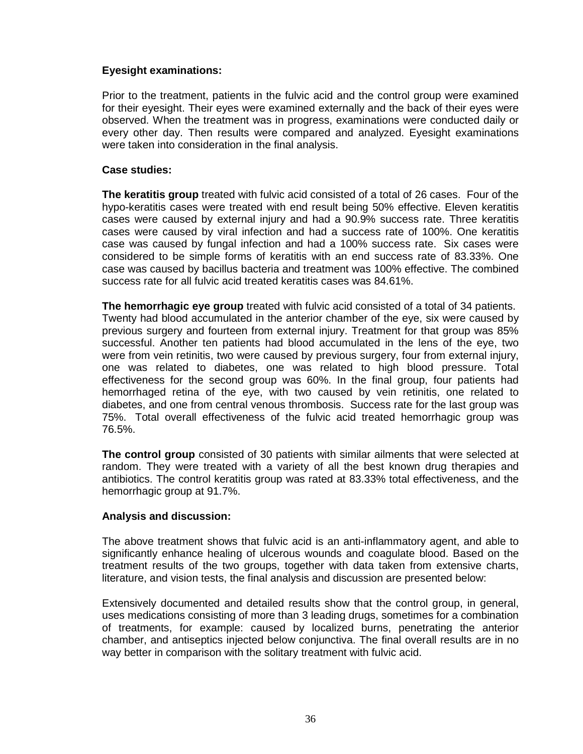## <span id="page-36-0"></span>**Eyesight examinations:**

<span id="page-36-1"></span>Prior to the treatment, patients in the fulvic acid and the control group were examined for their eyesight. Their eyes were examined externally and the back of their eyes were observed. When the treatment was in progress, examinations were conducted daily or every other day. Then results were compared and analyzed. Eyesight examinations were taken into consideration in the final analysis.

#### <span id="page-36-2"></span>**Case studies:**

**The keratitis group** treated with fulvic acid consisted of a total of 26 cases. Four of the hypo-keratitis cases were treated with end result being 50% effective. Eleven keratitis cases were caused by external injury and had a 90.9% success rate. Three keratitis cases were caused by viral infection and had a success rate of 100%. One keratitis case was caused by fungal infection and had a 100% success rate. Six cases were considered to be simple forms of keratitis with an end success rate of 83.33%. One case was caused by bacillus bacteria and treatment was 100% effective. The combined success rate for all fulvic acid treated keratitis cases was 84.61%.

<span id="page-36-3"></span>**The hemorrhagic eye group** treated with fulvic acid consisted of a total of 34 patients. Twenty had blood accumulated in the anterior chamber of the eye, six were caused by previous surgery and fourteen from external injury. Treatment for that group was 85% successful. Another ten patients had blood accumulated in the lens of the eye, two were from vein retinitis, two were caused by previous surgery, four from external injury, one was related to diabetes, one was related to high blood pressure. Total effectiveness for the second group was 60%. In the final group, four patients had hemorrhaged retina of the eye, with two caused by vein retinitis, one related to diabetes, and one from central venous thrombosis. Success rate for the last group was 75%. Total overall effectiveness of the fulvic acid treated hemorrhagic group was 76.5%.

<span id="page-36-4"></span>**The control group** consisted of 30 patients with similar ailments that were selected at random. They were treated with a variety of all the best known drug therapies and antibiotics. The control keratitis group was rated at 83.33% total effectiveness, and the hemorrhagic group at 91.7%.

#### <span id="page-36-5"></span>**Analysis and discussion:**

The above treatment shows that fulvic acid is an anti-inflammatory agent, and able to significantly enhance healing of ulcerous wounds and coagulate blood. Based on the treatment results of the two groups, together with data taken from extensive charts, literature, and vision tests, the final analysis and discussion are presented below:

Extensively documented and detailed results show that the control group, in general, uses medications consisting of more than 3 leading drugs, sometimes for a combination of treatments, for example: caused by localized burns, penetrating the anterior chamber, and antiseptics injected below conjunctiva. The final overall results are in no way better in comparison with the solitary treatment with fulvic acid.